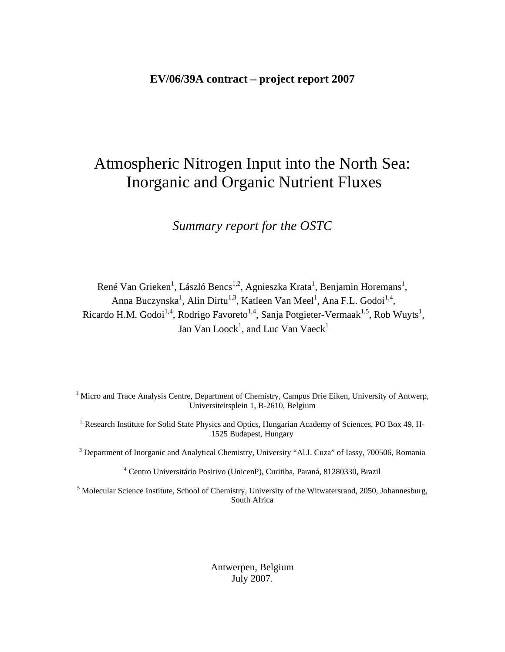#### **EV/06/39A contract – project report 2007**

# Atmospheric Nitrogen Input into the North Sea: Inorganic and Organic Nutrient Fluxes

*Summary report for the OSTC* 

René Van Grieken<sup>1</sup>, László Bencs<sup>1,2</sup>, Agnieszka Krata<sup>1</sup>, Benjamin Horemans<sup>1</sup>, Anna Buczynska<sup>1</sup>, Alin Dirtu<sup>1,3</sup>, Katleen Van Meel<sup>1</sup>, Ana F.L. Godoi<sup>1,4</sup>, Ricardo H.M. Godoi<sup>1,4</sup>, Rodrigo Favoreto<sup>1,4</sup>, Sanja Potgieter-Vermaak<sup>1,5</sup>, Rob Wuyts<sup>1</sup>, Jan Van Loock<sup>1</sup>, and Luc Van Vaeck<sup>1</sup>

<sup>1</sup> Micro and Trace Analysis Centre, Department of Chemistry, Campus Drie Eiken, University of Antwerp, Universiteitsplein 1, B-2610, Belgium

<sup>2</sup> Research Institute for Solid State Physics and Optics, Hungarian Academy of Sciences, PO Box 49, H-1525 Budapest, Hungary

<sup>3</sup> Department of Inorganic and Analytical Chemistry, University "Al.I. Cuza" of Iassy, 700506, Romania

4 Centro Universitário Positivo (UnicenP), Curitiba, Paraná, 81280330, Brazil

<sup>5</sup> Molecular Science Institute, School of Chemistry, University of the Witwatersrand, 2050, Johannesburg, South Africa

> Antwerpen, Belgium July 2007.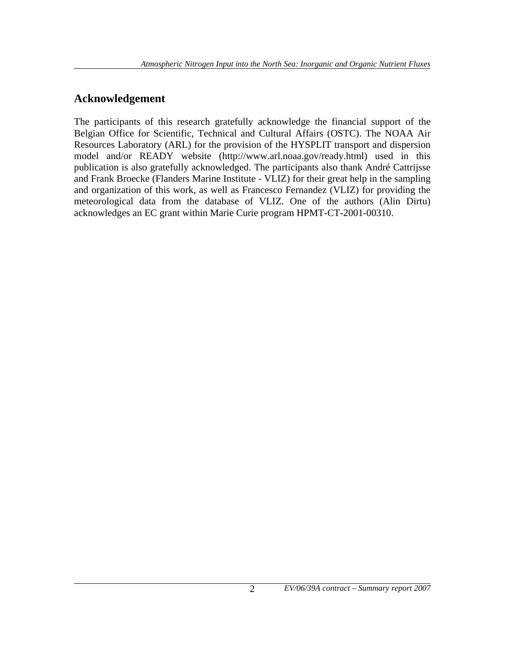### **Acknowledgement**

The participants of this research gratefully acknowledge the financial support of the Belgian Office for Scientific, Technical and Cultural Affairs (OSTC). The NOAA Air Resources Laboratory (ARL) for the provision of the HYSPLIT transport and dispersion model and/or READY website (http://www.arl.noaa.gov/ready.html) used in this publication is also gratefully acknowledged. The participants also thank André Cattrijsse and Frank Broecke (Flanders Marine Institute - VLIZ) for their great help in the sampling and organization of this work, as well as Francesco Fernandez (VLIZ) for providing the meteorological data from the database of VLIZ. One of the authors (Alin Dirtu) acknowledges an EC grant within Marie Curie program HPMT-CT-2001-00310.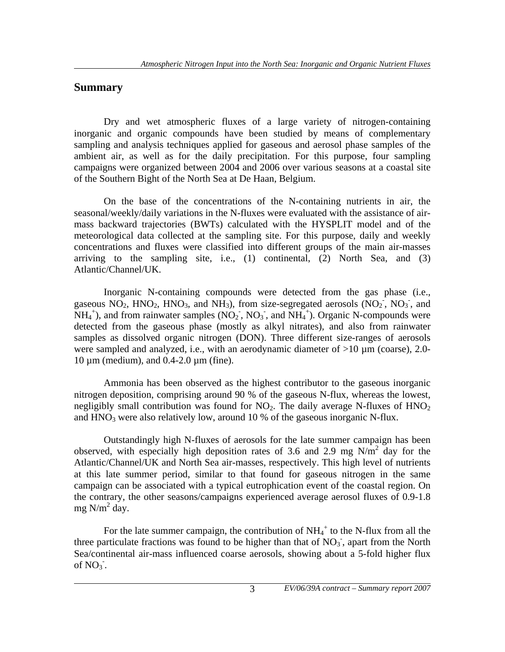#### **Summary**

 Dry and wet atmospheric fluxes of a large variety of nitrogen-containing inorganic and organic compounds have been studied by means of complementary sampling and analysis techniques applied for gaseous and aerosol phase samples of the ambient air, as well as for the daily precipitation. For this purpose, four sampling campaigns were organized between 2004 and 2006 over various seasons at a coastal site of the Southern Bight of the North Sea at De Haan, Belgium.

 On the base of the concentrations of the N-containing nutrients in air, the seasonal/weekly/daily variations in the N-fluxes were evaluated with the assistance of airmass backward trajectories (BWTs) calculated with the HYSPLIT model and of the meteorological data collected at the sampling site. For this purpose, daily and weekly concentrations and fluxes were classified into different groups of the main air-masses arriving to the sampling site, i.e.,  $(1)$  continental,  $(2)$  North Sea, and  $(3)$ Atlantic/Channel/UK.

 Inorganic N-containing compounds were detected from the gas phase (i.e., gaseous  $NO_2$ ,  $HNO_2$ ,  $HNO_3$ , and  $NH_3$ ), from size-segregated aerosols  $(NO_2, NO_3, and$  $NH_4^+$ ), and from rainwater samples (NO<sub>2</sub>, NO<sub>3</sub>, and NH<sub>4</sub><sup>+</sup>). Organic N-compounds were detected from the gaseous phase (mostly as alkyl nitrates), and also from rainwater samples as dissolved organic nitrogen (DON). Three different size-ranges of aerosols were sampled and analyzed, i.e., with an aerodynamic diameter of  $>10 \mu m$  (coarse), 2.0- $10 \mu$ m (medium), and  $0.4$ -2.0  $\mu$ m (fine).

 Ammonia has been observed as the highest contributor to the gaseous inorganic nitrogen deposition, comprising around 90 % of the gaseous N-flux, whereas the lowest, negligibly small contribution was found for  $NO<sub>2</sub>$ . The daily average N-fluxes of  $HNO<sub>2</sub>$ and  $HNO<sub>3</sub>$  were also relatively low, around 10 % of the gaseous inorganic N-flux.

 Outstandingly high N-fluxes of aerosols for the late summer campaign has been observed, with especially high deposition rates of 3.6 and 2.9 mg  $N/m^2$  day for the Atlantic/Channel/UK and North Sea air-masses, respectively. This high level of nutrients at this late summer period, similar to that found for gaseous nitrogen in the same campaign can be associated with a typical eutrophication event of the coastal region. On the contrary, the other seasons/campaigns experienced average aerosol fluxes of 0.9-1.8 mg  $N/m^2$  day.

For the late summer campaign, the contribution of  $NH_4^+$  to the N-flux from all the three particulate fractions was found to be higher than that of  $NO<sub>3</sub>$ , apart from the North Sea/continental air-mass influenced coarse aerosols, showing about a 5-fold higher flux of  $NO_3$ .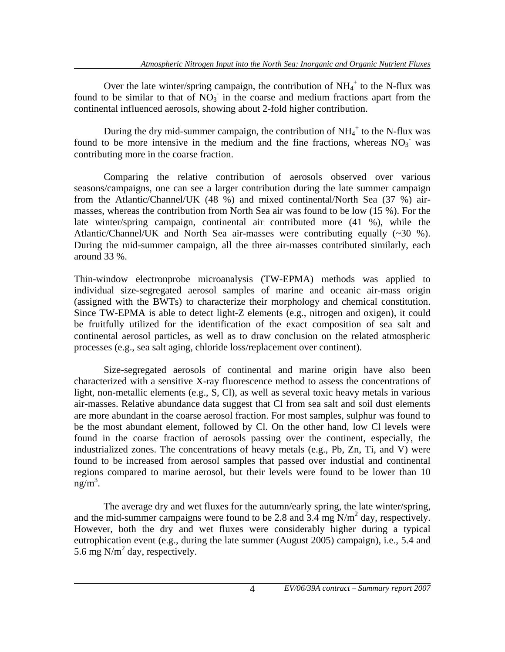Over the late winter/spring campaign, the contribution of  $NH_4^+$  to the N-flux was found to be similar to that of  $NO_3$  in the coarse and medium fractions apart from the continental influenced aerosols, showing about 2-fold higher contribution.

During the dry mid-summer campaign, the contribution of  $NH_4^+$  to the N-flux was found to be more intensive in the medium and the fine fractions, whereas  $NO<sub>3</sub>$  was contributing more in the coarse fraction.

 Comparing the relative contribution of aerosols observed over various seasons/campaigns, one can see a larger contribution during the late summer campaign from the Atlantic/Channel/UK (48 %) and mixed continental/North Sea (37 %) airmasses, whereas the contribution from North Sea air was found to be low (15 %). For the late winter/spring campaign, continental air contributed more (41 %), while the Atlantic/Channel/UK and North Sea air-masses were contributing equally (~30 %). During the mid-summer campaign, all the three air-masses contributed similarly, each around 33 %.

Thin-window electronprobe microanalysis (TW-EPMA) methods was applied to individual size-segregated aerosol samples of marine and oceanic air-mass origin (assigned with the BWTs) to characterize their morphology and chemical constitution. Since TW-EPMA is able to detect light-Z elements (e.g., nitrogen and oxigen), it could be fruitfully utilized for the identification of the exact composition of sea salt and continental aerosol particles, as well as to draw conclusion on the related atmospheric processes (e.g., sea salt aging, chloride loss/replacement over continent).

 Size-segregated aerosols of continental and marine origin have also been characterized with a sensitive X-ray fluorescence method to assess the concentrations of light, non-metallic elements (e.g., S, Cl), as well as several toxic heavy metals in various air-masses. Relative abundance data suggest that Cl from sea salt and soil dust elements are more abundant in the coarse aerosol fraction. For most samples, sulphur was found to be the most abundant element, followed by Cl. On the other hand, low Cl levels were found in the coarse fraction of aerosols passing over the continent, especially, the industrialized zones. The concentrations of heavy metals (e.g., Pb, Zn, Ti, and V) were found to be increased from aerosol samples that passed over industial and continental regions compared to marine aerosol, but their levels were found to be lower than 10  $ng/m^3$ .

 The average dry and wet fluxes for the autumn/early spring, the late winter/spring, and the mid-summer campaigns were found to be 2.8 and 3.4 mg  $N/m^2$  day, respectively. However, both the dry and wet fluxes were considerably higher during a typical eutrophication event (e.g., during the late summer (August 2005) campaign), i.e., 5.4 and 5.6 mg  $N/m^2$  day, respectively.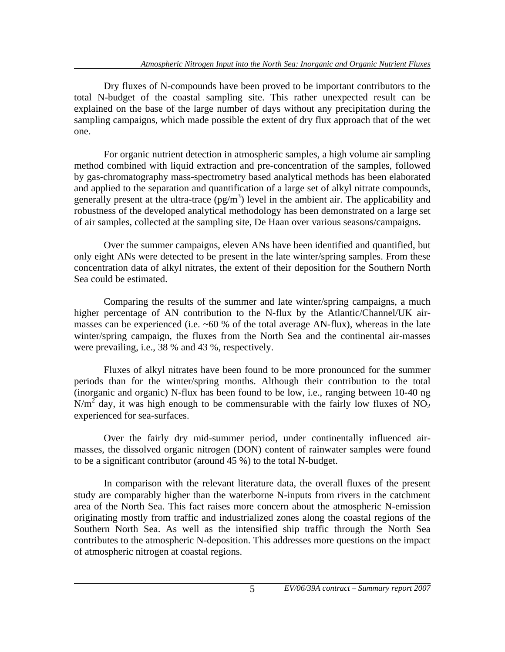Dry fluxes of N-compounds have been proved to be important contributors to the total N-budget of the coastal sampling site. This rather unexpected result can be explained on the base of the large number of days without any precipitation during the sampling campaigns, which made possible the extent of dry flux approach that of the wet one.

 For organic nutrient detection in atmospheric samples, a high volume air sampling method combined with liquid extraction and pre-concentration of the samples, followed by gas-chromatography mass-spectrometry based analytical methods has been elaborated and applied to the separation and quantification of a large set of alkyl nitrate compounds, generally present at the ultra-trace  $(pg/m<sup>3</sup>)$  level in the ambient air. The applicability and robustness of the developed analytical methodology has been demonstrated on a large set of air samples, collected at the sampling site, De Haan over various seasons/campaigns.

 Over the summer campaigns, eleven ANs have been identified and quantified, but only eight ANs were detected to be present in the late winter/spring samples. From these concentration data of alkyl nitrates, the extent of their deposition for the Southern North Sea could be estimated.

Comparing the results of the summer and late winter/spring campaigns, a much higher percentage of AN contribution to the N-flux by the Atlantic/Channel/UK airmasses can be experienced (i.e.  $\sim 60\%$  of the total average AN-flux), whereas in the late winter/spring campaign, the fluxes from the North Sea and the continental air-masses were prevailing, i.e., 38 % and 43 %, respectively.

 Fluxes of alkyl nitrates have been found to be more pronounced for the summer periods than for the winter/spring months. Although their contribution to the total (inorganic and organic) N-flux has been found to be low, i.e., ranging between 10-40 ng  $N/m<sup>2</sup>$  day, it was high enough to be commensurable with the fairly low fluxes of NO<sub>2</sub> experienced for sea-surfaces.

 Over the fairly dry mid-summer period, under continentally influenced airmasses, the dissolved organic nitrogen (DON) content of rainwater samples were found to be a significant contributor (around 45 %) to the total N-budget.

 In comparison with the relevant literature data, the overall fluxes of the present study are comparably higher than the waterborne N-inputs from rivers in the catchment area of the North Sea. This fact raises more concern about the atmospheric N-emission originating mostly from traffic and industrialized zones along the coastal regions of the Southern North Sea. As well as the intensified ship traffic through the North Sea contributes to the atmospheric N-deposition. This addresses more questions on the impact of atmospheric nitrogen at coastal regions.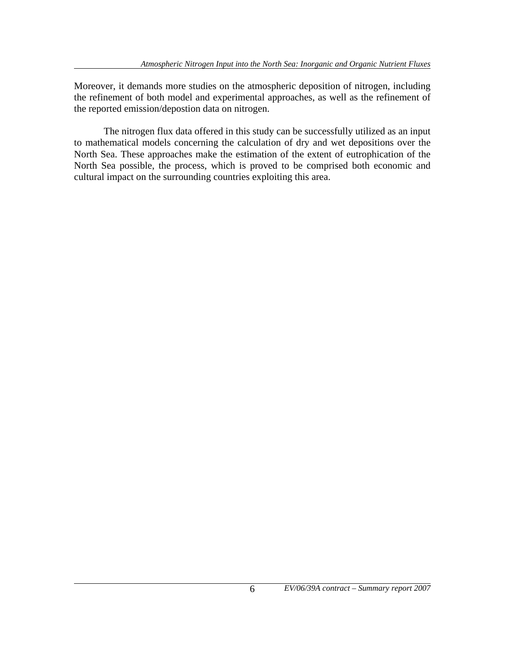Moreover, it demands more studies on the atmospheric deposition of nitrogen, including the refinement of both model and experimental approaches, as well as the refinement of the reported emission/depostion data on nitrogen.

 The nitrogen flux data offered in this study can be successfully utilized as an input to mathematical models concerning the calculation of dry and wet depositions over the North Sea. These approaches make the estimation of the extent of eutrophication of the North Sea possible, the process, which is proved to be comprised both economic and cultural impact on the surrounding countries exploiting this area.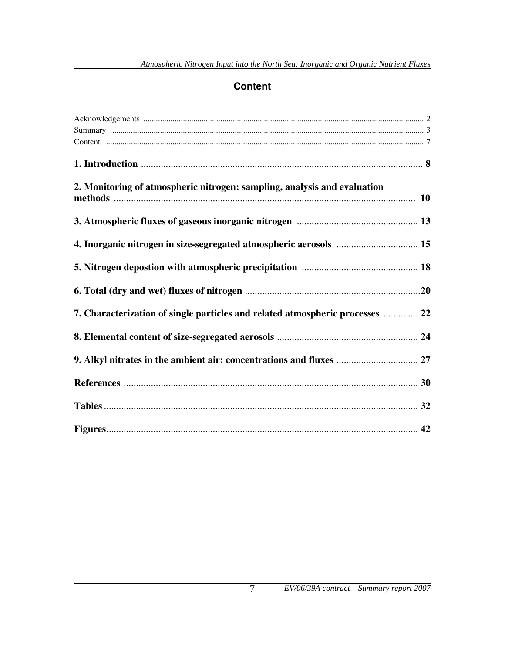#### **Content**

| 2. Monitoring of atmospheric nitrogen: sampling, analysis and evaluation      |  |
|-------------------------------------------------------------------------------|--|
|                                                                               |  |
|                                                                               |  |
|                                                                               |  |
|                                                                               |  |
|                                                                               |  |
| 7. Characterization of single particles and related atmospheric processes  22 |  |
|                                                                               |  |
| 9. Alkyl nitrates in the ambient air: concentrations and fluxes  27           |  |
|                                                                               |  |
|                                                                               |  |
|                                                                               |  |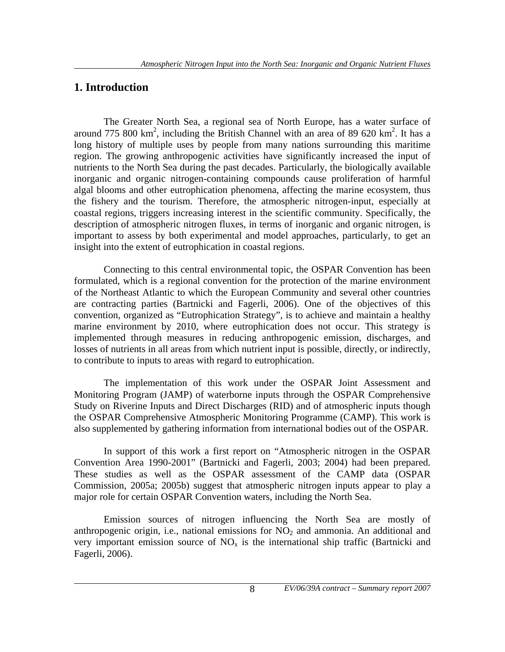#### **1. Introduction**

 The Greater North Sea, a regional sea of North Europe, has a water surface of around 775 800  $\text{km}^2$ , including the British Channel with an area of 89 620  $\text{km}^2$ . It has a long history of multiple uses by people from many nations surrounding this maritime region. The growing anthropogenic activities have significantly increased the input of nutrients to the North Sea during the past decades. Particularly, the biologically available inorganic and organic nitrogen-containing compounds cause proliferation of harmful algal blooms and other eutrophication phenomena, affecting the marine ecosystem, thus the fishery and the tourism. Therefore, the atmospheric nitrogen-input, especially at coastal regions, triggers increasing interest in the scientific community. Specifically, the description of atmospheric nitrogen fluxes, in terms of inorganic and organic nitrogen, is important to assess by both experimental and model approaches, particularly, to get an insight into the extent of eutrophication in coastal regions.

 Connecting to this central environmental topic, the OSPAR Convention has been formulated, which is a regional convention for the protection of the marine environment of the Northeast Atlantic to which the European Community and several other countries are contracting parties (Bartnicki and Fagerli, 2006). One of the objectives of this convention, organized as "Eutrophication Strategy", is to achieve and maintain a healthy marine environment by 2010, where eutrophication does not occur. This strategy is implemented through measures in reducing anthropogenic emission, discharges, and losses of nutrients in all areas from which nutrient input is possible, directly, or indirectly, to contribute to inputs to areas with regard to eutrophication.

 The implementation of this work under the OSPAR Joint Assessment and Monitoring Program (JAMP) of waterborne inputs through the OSPAR Comprehensive Study on Riverine Inputs and Direct Discharges (RID) and of atmospheric inputs though the OSPAR Comprehensive Atmospheric Monitoring Programme (CAMP). This work is also supplemented by gathering information from international bodies out of the OSPAR.

 In support of this work a first report on "Atmospheric nitrogen in the OSPAR Convention Area 1990-2001" (Bartnicki and Fagerli, 2003; 2004) had been prepared. These studies as well as the OSPAR assessment of the CAMP data (OSPAR Commission, 2005a; 2005b) suggest that atmospheric nitrogen inputs appear to play a major role for certain OSPAR Convention waters, including the North Sea.

 Emission sources of nitrogen influencing the North Sea are mostly of anthropogenic origin, i.e., national emissions for  $NO<sub>2</sub>$  and ammonia. An additional and very important emission source of  $NO<sub>x</sub>$  is the international ship traffic (Bartnicki and Fagerli, 2006).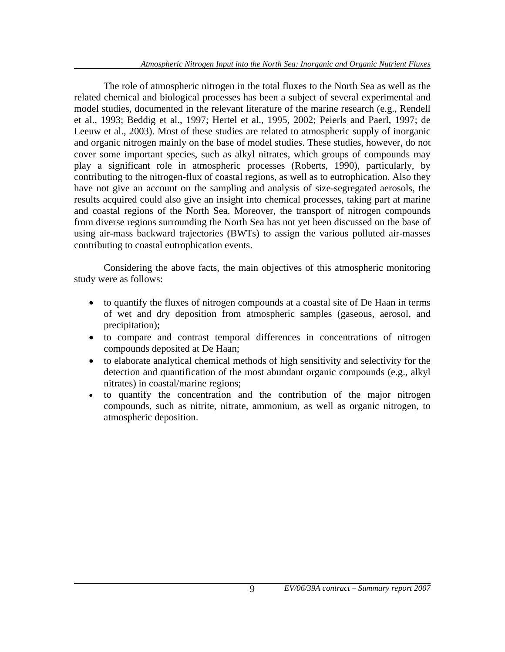The role of atmospheric nitrogen in the total fluxes to the North Sea as well as the related chemical and biological processes has been a subject of several experimental and model studies, documented in the relevant literature of the marine research (e.g., Rendell et al., 1993; Beddig et al., 1997; Hertel et al., 1995, 2002; Peierls and Paerl, 1997; de Leeuw et al., 2003). Most of these studies are related to atmospheric supply of inorganic and organic nitrogen mainly on the base of model studies. These studies, however, do not cover some important species, such as alkyl nitrates, which groups of compounds may play a significant role in atmospheric processes (Roberts, 1990), particularly, by contributing to the nitrogen-flux of coastal regions, as well as to eutrophication. Also they have not give an account on the sampling and analysis of size-segregated aerosols, the results acquired could also give an insight into chemical processes, taking part at marine and coastal regions of the North Sea. Moreover, the transport of nitrogen compounds from diverse regions surrounding the North Sea has not yet been discussed on the base of using air-mass backward trajectories (BWTs) to assign the various polluted air-masses contributing to coastal eutrophication events.

 Considering the above facts, the main objectives of this atmospheric monitoring study were as follows:

- to quantify the fluxes of nitrogen compounds at a coastal site of De Haan in terms of wet and dry deposition from atmospheric samples (gaseous, aerosol, and precipitation);
- to compare and contrast temporal differences in concentrations of nitrogen compounds deposited at De Haan;
- to elaborate analytical chemical methods of high sensitivity and selectivity for the detection and quantification of the most abundant organic compounds (e.g., alkyl nitrates) in coastal/marine regions;
- to quantify the concentration and the contribution of the major nitrogen compounds, such as nitrite, nitrate, ammonium, as well as organic nitrogen, to atmospheric deposition.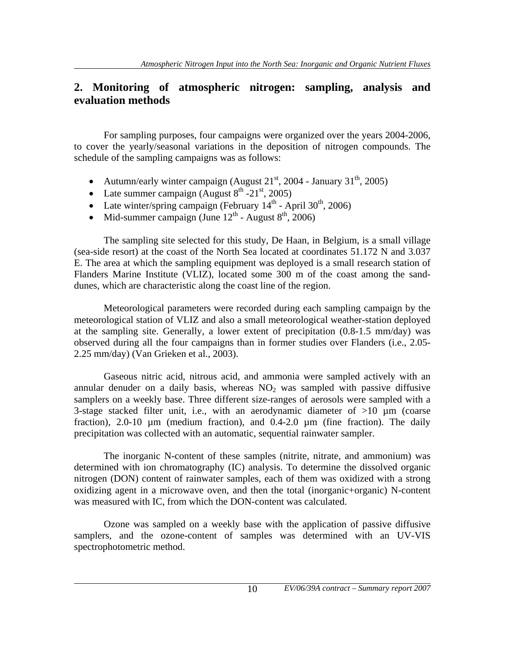#### **2. Monitoring of atmospheric nitrogen: sampling, analysis and evaluation methods**

 For sampling purposes, four campaigns were organized over the years 2004-2006, to cover the yearly/seasonal variations in the deposition of nitrogen compounds. The schedule of the sampling campaigns was as follows:

- Autumn/early winter campaign (August  $21<sup>st</sup>$ , 2004 January  $31<sup>th</sup>$ , 2005)
- Late summer campaign (August  $8<sup>th</sup> -21<sup>st</sup>$ , 2005)
- Late winter/spring campaign (February  $14<sup>th</sup>$  April 30<sup>th</sup>, 2006)
- Mid-summer campaign (June  $12^{th}$  August  $8^{th}$ , 2006)

 The sampling site selected for this study, De Haan, in Belgium, is a small village (sea-side resort) at the coast of the North Sea located at coordinates 51.172 N and 3.037 E. The area at which the sampling equipment was deployed is a small research station of Flanders Marine Institute (VLIZ), located some 300 m of the coast among the sanddunes, which are characteristic along the coast line of the region.

 Meteorological parameters were recorded during each sampling campaign by the meteorological station of VLIZ and also a small meteorological weather-station deployed at the sampling site. Generally, a lower extent of precipitation (0.8-1.5 mm/day) was observed during all the four campaigns than in former studies over Flanders (i.e., 2.05- 2.25 mm/day) (Van Grieken et al., 2003).

 Gaseous nitric acid, nitrous acid, and ammonia were sampled actively with an annular denuder on a daily basis, whereas  $NO<sub>2</sub>$  was sampled with passive diffusive samplers on a weekly base. Three different size-ranges of aerosols were sampled with a 3-stage stacked filter unit, i.e., with an aerodynamic diameter of  $>10 \mu m$  (coarse fraction),  $2.0-10 \mu m$  (medium fraction), and  $0.4-2.0 \mu m$  (fine fraction). The daily precipitation was collected with an automatic, sequential rainwater sampler.

 The inorganic N-content of these samples (nitrite, nitrate, and ammonium) was determined with ion chromatography (IC) analysis. To determine the dissolved organic nitrogen (DON) content of rainwater samples, each of them was oxidized with a strong oxidizing agent in a microwave oven, and then the total (inorganic+organic) N-content was measured with IC, from which the DON-content was calculated.

 Ozone was sampled on a weekly base with the application of passive diffusive samplers, and the ozone-content of samples was determined with an UV-VIS spectrophotometric method.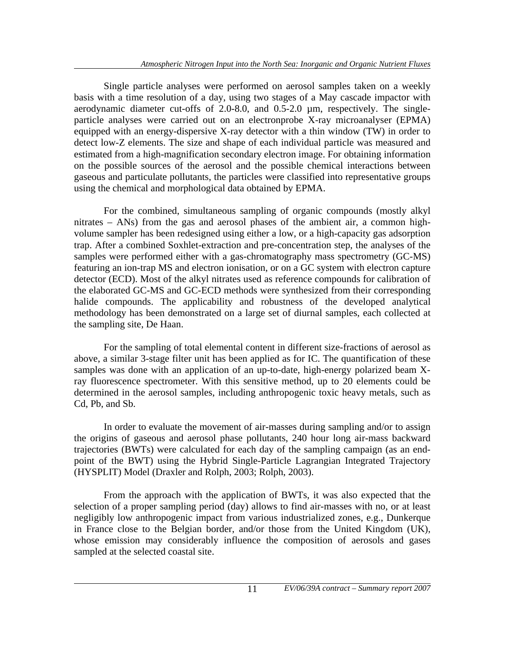Single particle analyses were performed on aerosol samples taken on a weekly basis with a time resolution of a day, using two stages of a May cascade impactor with aerodynamic diameter cut-offs of 2.0-8.0, and 0.5-2.0 µm, respectively. The singleparticle analyses were carried out on an electronprobe X-ray microanalyser (EPMA) equipped with an energy-dispersive X-ray detector with a thin window (TW) in order to detect low-Z elements. The size and shape of each individual particle was measured and estimated from a high-magnification secondary electron image. For obtaining information on the possible sources of the aerosol and the possible chemical interactions between gaseous and particulate pollutants, the particles were classified into representative groups using the chemical and morphological data obtained by EPMA.

 For the combined, simultaneous sampling of organic compounds (mostly alkyl nitrates – ANs) from the gas and aerosol phases of the ambient air, a common highvolume sampler has been redesigned using either a low, or a high-capacity gas adsorption trap. After a combined Soxhlet-extraction and pre-concentration step, the analyses of the samples were performed either with a gas-chromatography mass spectrometry (GC-MS) featuring an ion-trap MS and electron ionisation, or on a GC system with electron capture detector (ECD). Most of the alkyl nitrates used as reference compounds for calibration of the elaborated GC-MS and GC-ECD methods were synthesized from their corresponding halide compounds. The applicability and robustness of the developed analytical methodology has been demonstrated on a large set of diurnal samples, each collected at the sampling site, De Haan.

 For the sampling of total elemental content in different size-fractions of aerosol as above, a similar 3-stage filter unit has been applied as for IC. The quantification of these samples was done with an application of an up-to-date, high-energy polarized beam Xray fluorescence spectrometer. With this sensitive method, up to 20 elements could be determined in the aerosol samples, including anthropogenic toxic heavy metals, such as Cd, Pb, and Sb.

 In order to evaluate the movement of air-masses during sampling and/or to assign the origins of gaseous and aerosol phase pollutants, 240 hour long air-mass backward trajectories (BWTs) were calculated for each day of the sampling campaign (as an endpoint of the BWT) using the Hybrid Single-Particle Lagrangian Integrated Trajectory (HYSPLIT) Model (Draxler and Rolph, 2003; Rolph, 2003).

 From the approach with the application of BWTs, it was also expected that the selection of a proper sampling period (day) allows to find air-masses with no, or at least negligibly low anthropogenic impact from various industrialized zones, e.g., Dunkerque in France close to the Belgian border, and/or those from the United Kingdom (UK), whose emission may considerably influence the composition of aerosols and gases sampled at the selected coastal site.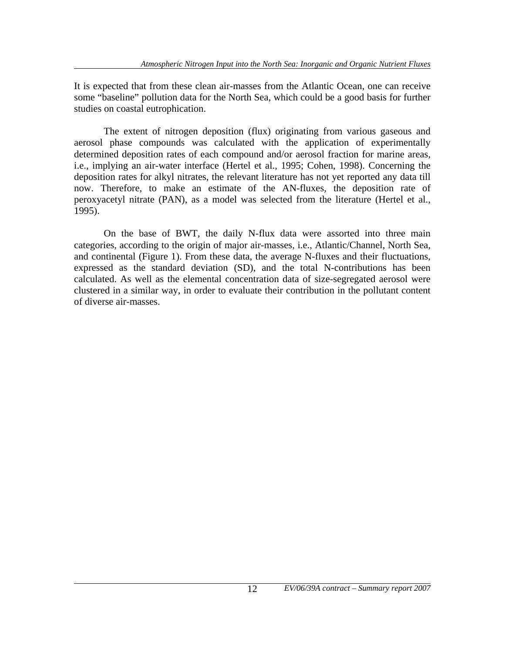It is expected that from these clean air-masses from the Atlantic Ocean, one can receive some "baseline" pollution data for the North Sea, which could be a good basis for further studies on coastal eutrophication.

 The extent of nitrogen deposition (flux) originating from various gaseous and aerosol phase compounds was calculated with the application of experimentally determined deposition rates of each compound and/or aerosol fraction for marine areas, i.e., implying an air-water interface (Hertel et al., 1995; Cohen, 1998). Concerning the deposition rates for alkyl nitrates, the relevant literature has not yet reported any data till now. Therefore, to make an estimate of the AN-fluxes, the deposition rate of peroxyacetyl nitrate (PAN), as a model was selected from the literature (Hertel et al., 1995).

 On the base of BWT, the daily N-flux data were assorted into three main categories, according to the origin of major air-masses, i.e., Atlantic/Channel, North Sea, and continental (Figure 1). From these data, the average N-fluxes and their fluctuations, expressed as the standard deviation (SD), and the total N-contributions has been calculated. As well as the elemental concentration data of size-segregated aerosol were clustered in a similar way, in order to evaluate their contribution in the pollutant content of diverse air-masses.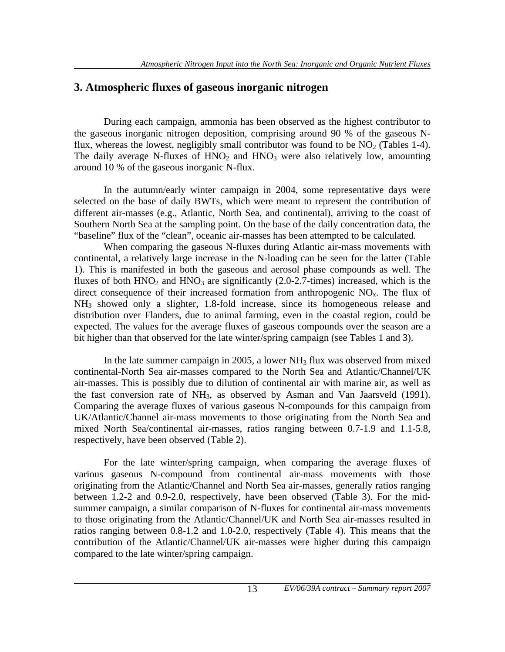#### **3. Atmospheric fluxes of gaseous inorganic nitrogen**

 During each campaign, ammonia has been observed as the highest contributor to the gaseous inorganic nitrogen deposition, comprising around 90 % of the gaseous Nflux, whereas the lowest, negligibly small contributor was found to be  $NO<sub>2</sub>$  (Tables 1-4). The daily average N-fluxes of  $HNO<sub>2</sub>$  and  $HNO<sub>3</sub>$  were also relatively low, amounting around 10 % of the gaseous inorganic N-flux.

 In the autumn/early winter campaign in 2004, some representative days were selected on the base of daily BWTs, which were meant to represent the contribution of different air-masses (e.g., Atlantic, North Sea, and continental), arriving to the coast of Southern North Sea at the sampling point. On the base of the daily concentration data, the "baseline" flux of the "clean", oceanic air-masses has been attempted to be calculated.

 When comparing the gaseous N-fluxes during Atlantic air-mass movements with continental, a relatively large increase in the N-loading can be seen for the latter (Table 1). This is manifested in both the gaseous and aerosol phase compounds as well. The fluxes of both  $HNO<sub>2</sub>$  and  $HNO<sub>3</sub>$  are significantly (2.0-2.7-times) increased, which is the direct consequence of their increased formation from anthropogenic  $NO<sub>x</sub>$ . The flux of NH3 showed only a slighter, 1.8-fold increase, since its homogeneous release and distribution over Flanders, due to animal farming, even in the coastal region, could be expected. The values for the average fluxes of gaseous compounds over the season are a bit higher than that observed for the late winter/spring campaign (see Tables 1 and 3).

In the late summer campaign in 2005, a lower  $NH<sub>3</sub>$  flux was observed from mixed continental-North Sea air-masses compared to the North Sea and Atlantic/Channel/UK air-masses. This is possibly due to dilution of continental air with marine air, as well as the fast conversion rate of  $NH_3$ , as observed by Asman and Van Jaarsveld (1991). Comparing the average fluxes of various gaseous N-compounds for this campaign from UK/Atlantic/Channel air-mass movements to those originating from the North Sea and mixed North Sea/continental air-masses, ratios ranging between 0.7-1.9 and 1.1-5.8, respectively, have been observed (Table 2).

 For the late winter/spring campaign, when comparing the average fluxes of various gaseous N-compound from continental air-mass movements with those originating from the Atlantic/Channel and North Sea air-masses, generally ratios ranging between 1.2-2 and 0.9-2.0, respectively, have been observed (Table 3). For the midsummer campaign, a similar comparison of N-fluxes for continental air-mass movements to those originating from the Atlantic/Channel/UK and North Sea air-masses resulted in ratios ranging between 0.8-1.2 and 1.0-2.0, respectively (Table 4). This means that the contribution of the Atlantic/Channel/UK air-masses were higher during this campaign compared to the late winter/spring campaign.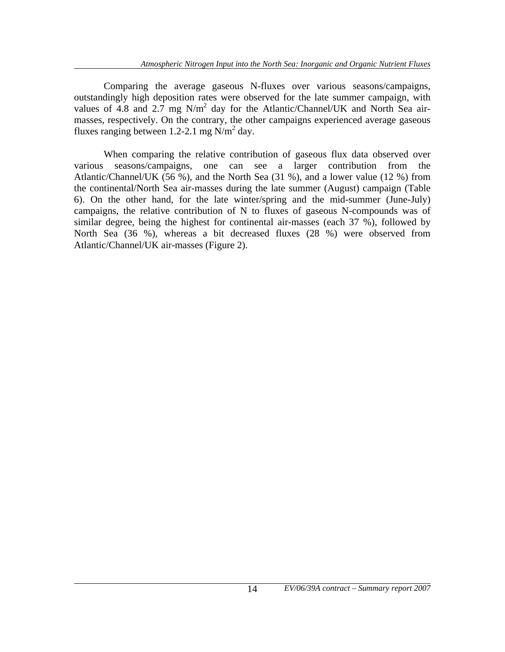Comparing the average gaseous N-fluxes over various seasons/campaigns, outstandingly high deposition rates were observed for the late summer campaign, with values of 4.8 and 2.7 mg  $N/m^2$  day for the Atlantic/Channel/UK and North Sea airmasses, respectively. On the contrary, the other campaigns experienced average gaseous fluxes ranging between 1.2-2.1 mg  $N/m^2$  day.

 When comparing the relative contribution of gaseous flux data observed over various seasons/campaigns, one can see a larger contribution from the Atlantic/Channel/UK (56 %), and the North Sea (31 %), and a lower value (12 %) from the continental/North Sea air-masses during the late summer (August) campaign (Table 6). On the other hand, for the late winter/spring and the mid-summer (June-July) campaigns, the relative contribution of N to fluxes of gaseous N-compounds was of similar degree, being the highest for continental air-masses (each 37 %), followed by North Sea (36 %), whereas a bit decreased fluxes (28 %) were observed from Atlantic/Channel/UK air-masses (Figure 2).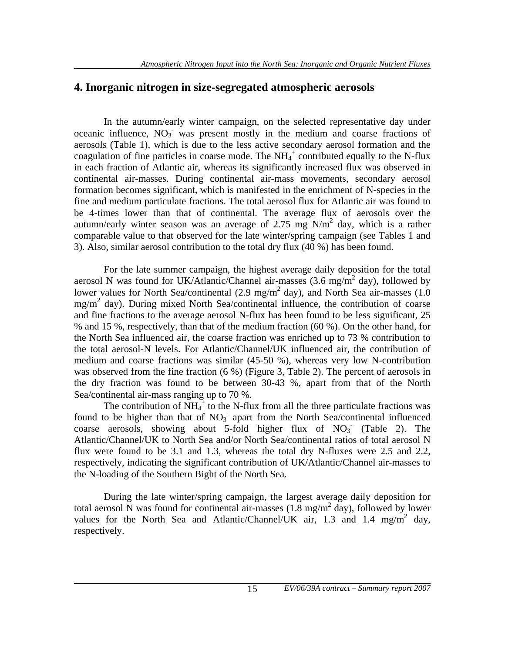#### **4. Inorganic nitrogen in size-segregated atmospheric aerosols**

 In the autumn/early winter campaign, on the selected representative day under oceanic influence,  $NO_3$  was present mostly in the medium and coarse fractions of aerosols (Table 1), which is due to the less active secondary aerosol formation and the coagulation of fine particles in coarse mode. The  $NH_4^+$  contributed equally to the N-flux in each fraction of Atlantic air, whereas its significantly increased flux was observed in continental air-masses. During continental air-mass movements, secondary aerosol formation becomes significant, which is manifested in the enrichment of N-species in the fine and medium particulate fractions. The total aerosol flux for Atlantic air was found to be 4-times lower than that of continental. The average flux of aerosols over the autumn/early winter season was an average of 2.75 mg  $N/m^2$  day, which is a rather comparable value to that observed for the late winter/spring campaign (see Tables 1 and 3). Also, similar aerosol contribution to the total dry flux (40 %) has been found.

 For the late summer campaign, the highest average daily deposition for the total aerosol N was found for UK/Atlantic/Channel air-masses  $(3.6 \text{ mg/m}^2 \text{ day})$ , followed by lower values for North Sea/continental (2.9 mg/m<sup>2</sup> day), and North Sea air-masses (1.0 mg/m<sup>2</sup> day). During mixed North Sea/continental influence, the contribution of coarse and fine fractions to the average aerosol N-flux has been found to be less significant, 25 % and 15 %, respectively, than that of the medium fraction (60 %). On the other hand, for the North Sea influenced air, the coarse fraction was enriched up to 73 % contribution to the total aerosol-N levels. For Atlantic/Channel/UK influenced air, the contribution of medium and coarse fractions was similar (45-50 %), whereas very low N-contribution was observed from the fine fraction (6 %) (Figure 3, Table 2). The percent of aerosols in the dry fraction was found to be between 30-43 %, apart from that of the North Sea/continental air-mass ranging up to 70 %.

The contribution of  $NH_4^+$  to the N-flux from all the three particulate fractions was found to be higher than that of  $NO<sub>3</sub>$  apart from the North Sea/continental influenced coarse aerosols, showing about 5-fold higher flux of  $NO<sub>3</sub>$  (Table 2). The Atlantic/Channel/UK to North Sea and/or North Sea/continental ratios of total aerosol N flux were found to be 3.1 and 1.3, whereas the total dry N-fluxes were 2.5 and 2.2, respectively, indicating the significant contribution of UK/Atlantic/Channel air-masses to the N-loading of the Southern Bight of the North Sea.

 During the late winter/spring campaign, the largest average daily deposition for total aerosol  $\tilde{N}$  was found for continental air-masses (1.8 mg/m<sup>2</sup> day), followed by lower values for the North Sea and Atlantic/Channel/UK air, 1.3 and 1.4 mg/m<sup>2</sup> day, respectively.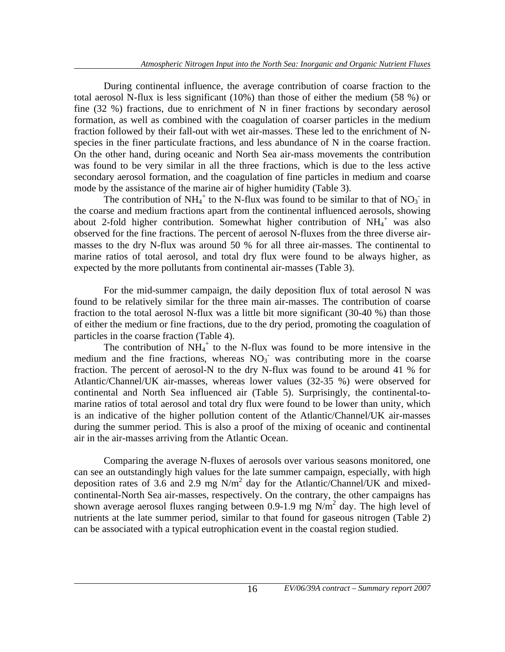During continental influence, the average contribution of coarse fraction to the total aerosol N-flux is less significant (10%) than those of either the medium (58 %) or fine (32 %) fractions, due to enrichment of N in finer fractions by secondary aerosol formation, as well as combined with the coagulation of coarser particles in the medium fraction followed by their fall-out with wet air-masses. These led to the enrichment of Nspecies in the finer particulate fractions, and less abundance of N in the coarse fraction. On the other hand, during oceanic and North Sea air-mass movements the contribution was found to be very similar in all the three fractions, which is due to the less active secondary aerosol formation, and the coagulation of fine particles in medium and coarse mode by the assistance of the marine air of higher humidity (Table 3).

The contribution of  $NH_4^+$  to the N-flux was found to be similar to that of  $NO_3^-$  in the coarse and medium fractions apart from the continental influenced aerosols, showing about 2-fold higher contribution. Somewhat higher contribution of  $NH_4^+$  was also observed for the fine fractions. The percent of aerosol N-fluxes from the three diverse airmasses to the dry N-flux was around 50 % for all three air-masses. The continental to marine ratios of total aerosol, and total dry flux were found to be always higher, as expected by the more pollutants from continental air-masses (Table 3).

 For the mid-summer campaign, the daily deposition flux of total aerosol N was found to be relatively similar for the three main air-masses. The contribution of coarse fraction to the total aerosol N-flux was a little bit more significant (30-40 %) than those of either the medium or fine fractions, due to the dry period, promoting the coagulation of particles in the coarse fraction (Table 4).

The contribution of  $NH_4^+$  to the N-flux was found to be more intensive in the medium and the fine fractions, whereas  $NO<sub>3</sub>$  was contributing more in the coarse fraction. The percent of aerosol-N to the dry N-flux was found to be around 41 % for Atlantic/Channel/UK air-masses, whereas lower values (32-35 %) were observed for continental and North Sea influenced air (Table 5). Surprisingly, the continental-tomarine ratios of total aerosol and total dry flux were found to be lower than unity, which is an indicative of the higher pollution content of the Atlantic/Channel/UK air-masses during the summer period. This is also a proof of the mixing of oceanic and continental air in the air-masses arriving from the Atlantic Ocean.

 Comparing the average N-fluxes of aerosols over various seasons monitored, one can see an outstandingly high values for the late summer campaign, especially, with high deposition rates of 3.6 and 2.9 mg N/m<sup>2</sup> day for the Atlantic/Channel/UK and mixedcontinental-North Sea air-masses, respectively. On the contrary, the other campaigns has shown average aerosol fluxes ranging between 0.9-1.9 mg  $N/m^2$  day. The high level of nutrients at the late summer period, similar to that found for gaseous nitrogen (Table 2) can be associated with a typical eutrophication event in the coastal region studied.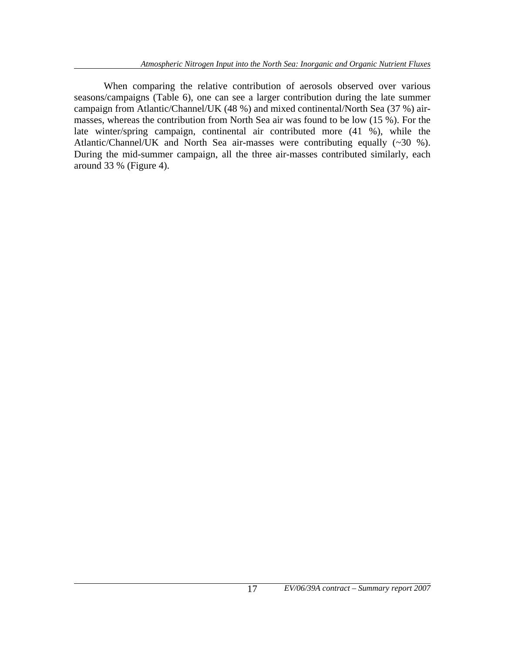When comparing the relative contribution of aerosols observed over various seasons/campaigns (Table 6), one can see a larger contribution during the late summer campaign from Atlantic/Channel/UK (48 %) and mixed continental/North Sea (37 %) airmasses, whereas the contribution from North Sea air was found to be low (15 %). For the late winter/spring campaign, continental air contributed more (41 %), while the Atlantic/Channel/UK and North Sea air-masses were contributing equally (~30 %). During the mid-summer campaign, all the three air-masses contributed similarly, each around 33 % (Figure 4).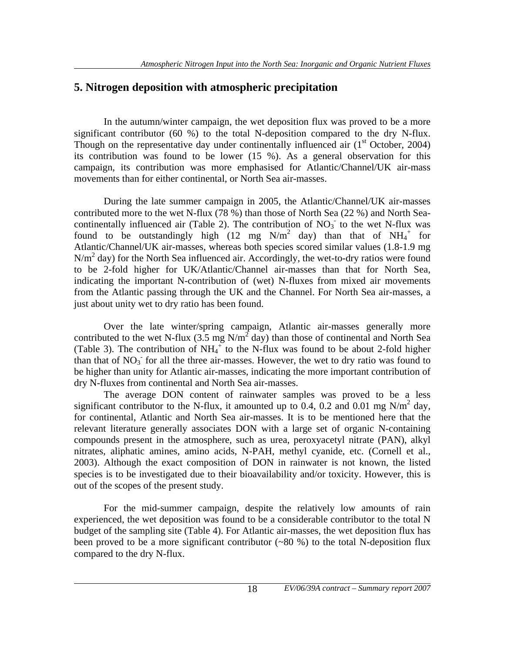#### **5. Nitrogen deposition with atmospheric precipitation**

 In the autumn/winter campaign, the wet deposition flux was proved to be a more significant contributor (60 %) to the total N-deposition compared to the dry N-flux. Though on the representative day under continentally influenced air  $(1<sup>st</sup> October, 2004)$ its contribution was found to be lower (15 %). As a general observation for this campaign, its contribution was more emphasised for Atlantic/Channel/UK air-mass movements than for either continental, or North Sea air-masses.

 During the late summer campaign in 2005, the Atlantic/Channel/UK air-masses contributed more to the wet N-flux (78 %) than those of North Sea (22 %) and North Seacontinentally influenced air (Table 2). The contribution of  $NO<sub>3</sub>$  to the wet N-flux was found to be outstandingly high  $(12 \text{ mg } N/m^2 \text{ day})$  than that of  $NH_4^+$  for Atlantic/Channel/UK air-masses, whereas both species scored similar values (1.8-1.9 mg N/m<sup>2</sup> day) for the North Sea influenced air. Accordingly, the wet-to-dry ratios were found to be 2-fold higher for UK/Atlantic/Channel air-masses than that for North Sea, indicating the important N-contribution of (wet) N-fluxes from mixed air movements from the Atlantic passing through the UK and the Channel. For North Sea air-masses, a just about unity wet to dry ratio has been found.

 Over the late winter/spring campaign, Atlantic air-masses generally more contributed to the wet N-flux (3.5 mg  $N/m^2$  day) than those of continental and North Sea (Table 3). The contribution of  $NH_4^+$  to the N-flux was found to be about 2-fold higher than that of  $NO<sub>3</sub>$  for all the three air-masses. However, the wet to dry ratio was found to be higher than unity for Atlantic air-masses, indicating the more important contribution of dry N-fluxes from continental and North Sea air-masses.

 The average DON content of rainwater samples was proved to be a less significant contributor to the N-flux, it amounted up to 0.4, 0.2 and 0.01 mg N/m<sup>2</sup> day, for continental, Atlantic and North Sea air-masses. It is to be mentioned here that the relevant literature generally associates DON with a large set of organic N-containing compounds present in the atmosphere, such as urea, peroxyacetyl nitrate (PAN), alkyl nitrates, aliphatic amines, amino acids, N-PAH, methyl cyanide, etc. (Cornell et al., 2003). Although the exact composition of DON in rainwater is not known, the listed species is to be investigated due to their bioavailability and/or toxicity. However, this is out of the scopes of the present study.

For the mid-summer campaign, despite the relatively low amounts of rain experienced, the wet deposition was found to be a considerable contributor to the total N budget of the sampling site (Table 4). For Atlantic air-masses, the wet deposition flux has been proved to be a more significant contributor  $(\sim 80\%)$  to the total N-deposition flux compared to the dry N-flux.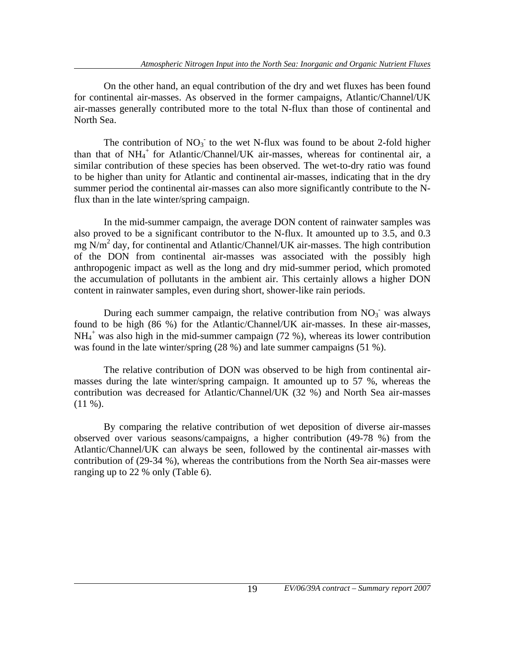On the other hand, an equal contribution of the dry and wet fluxes has been found for continental air-masses. As observed in the former campaigns, Atlantic/Channel/UK air-masses generally contributed more to the total N-flux than those of continental and North Sea.

The contribution of  $NO<sub>3</sub>$  to the wet N-flux was found to be about 2-fold higher than that of NH<sub>4</sub><sup>+</sup> for Atlantic/Channel/UK air-masses, whereas for continental air, a similar contribution of these species has been observed. The wet-to-dry ratio was found to be higher than unity for Atlantic and continental air-masses, indicating that in the dry summer period the continental air-masses can also more significantly contribute to the Nflux than in the late winter/spring campaign.

 In the mid-summer campaign, the average DON content of rainwater samples was also proved to be a significant contributor to the N-flux. It amounted up to 3.5, and 0.3 mg  $\overline{N/m}^2$  day, for continental and Atlantic/Channel/UK air-masses. The high contribution of the DON from continental air-masses was associated with the possibly high anthropogenic impact as well as the long and dry mid-summer period, which promoted the accumulation of pollutants in the ambient air. This certainly allows a higher DON content in rainwater samples, even during short, shower-like rain periods.

During each summer campaign, the relative contribution from  $NO<sub>3</sub>$  was always found to be high (86 %) for the Atlantic/Channel/UK air-masses. In these air-masses, NH<sub>4</sub><sup>+</sup> was also high in the mid-summer campaign (72 %), whereas its lower contribution was found in the late winter/spring (28 %) and late summer campaigns (51 %).

 The relative contribution of DON was observed to be high from continental airmasses during the late winter/spring campaign. It amounted up to 57 %, whereas the contribution was decreased for Atlantic/Channel/UK (32 %) and North Sea air-masses  $(11 \%)$ .

 By comparing the relative contribution of wet deposition of diverse air-masses observed over various seasons/campaigns, a higher contribution (49-78 %) from the Atlantic/Channel/UK can always be seen, followed by the continental air-masses with contribution of (29-34 %), whereas the contributions from the North Sea air-masses were ranging up to 22 % only (Table 6).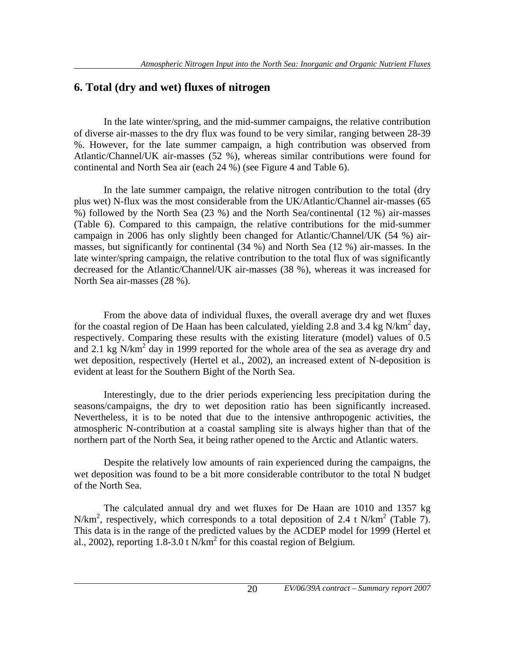#### **6. Total (dry and wet) fluxes of nitrogen**

 In the late winter/spring, and the mid-summer campaigns, the relative contribution of diverse air-masses to the dry flux was found to be very similar, ranging between 28-39 %. However, for the late summer campaign, a high contribution was observed from Atlantic/Channel/UK air-masses (52 %), whereas similar contributions were found for continental and North Sea air (each 24 %) (see Figure 4 and Table 6).

 In the late summer campaign, the relative nitrogen contribution to the total (dry plus wet) N-flux was the most considerable from the UK/Atlantic/Channel air-masses (65 %) followed by the North Sea (23 %) and the North Sea/continental (12 %) air-masses (Table 6). Compared to this campaign, the relative contributions for the mid-summer campaign in 2006 has only slightly been changed for Atlantic/Channel/UK (54 %) airmasses, but significantly for continental (34 %) and North Sea (12 %) air-masses. In the late winter/spring campaign, the relative contribution to the total flux of was significantly decreased for the Atlantic/Channel/UK air-masses (38 %), whereas it was increased for North Sea air-masses (28 %).

 From the above data of individual fluxes, the overall average dry and wet fluxes for the coastal region of De Haan has been calculated, yielding 2.8 and 3.4 kg N/km<sup>2</sup> day, respectively. Comparing these results with the existing literature (model) values of 0.5 and 2.1 kg N/km<sup>2</sup> day in 1999 reported for the whole area of the sea as average dry and wet deposition, respectively (Hertel et al., 2002), an increased extent of N-deposition is evident at least for the Southern Bight of the North Sea.

 Interestingly, due to the drier periods experiencing less precipitation during the seasons/campaigns, the dry to wet deposition ratio has been significantly increased. Nevertheless, it is to be noted that due to the intensive anthropogenic activities, the atmospheric N-contribution at a coastal sampling site is always higher than that of the northern part of the North Sea, it being rather opened to the Arctic and Atlantic waters.

 Despite the relatively low amounts of rain experienced during the campaigns, the wet deposition was found to be a bit more considerable contributor to the total N budget of the North Sea.

 The calculated annual dry and wet fluxes for De Haan are 1010 and 1357 kg N/km<sup>2</sup>, respectively, which corresponds to a total deposition of 2.4 t N/km<sup>2</sup> (Table 7). This data is in the range of the predicted values by the ACDEP model for 1999 (Hertel et al., 2002), reporting  $1.8-3.0$  t N/km<sup>2</sup> for this coastal region of Belgium.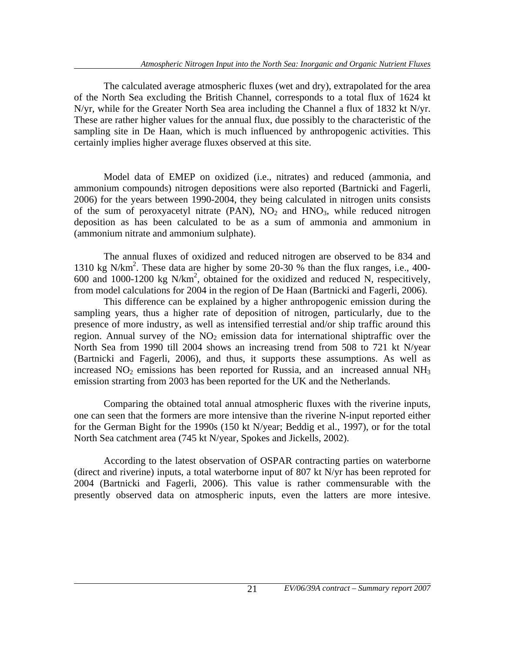The calculated average atmospheric fluxes (wet and dry), extrapolated for the area of the North Sea excluding the British Channel, corresponds to a total flux of 1624 kt N/yr, while for the Greater North Sea area including the Channel a flux of 1832 kt N/yr. These are rather higher values for the annual flux, due possibly to the characteristic of the sampling site in De Haan, which is much influenced by anthropogenic activities. This certainly implies higher average fluxes observed at this site.

 Model data of EMEP on oxidized (i.e., nitrates) and reduced (ammonia, and ammonium compounds) nitrogen depositions were also reported (Bartnicki and Fagerli, 2006) for the years between 1990-2004, they being calculated in nitrogen units consists of the sum of peroxyacetyl nitrate (PAN),  $NO<sub>2</sub>$  and  $HNO<sub>3</sub>$ , while reduced nitrogen deposition as has been calculated to be as a sum of ammonia and ammonium in (ammonium nitrate and ammonium sulphate).

 The annual fluxes of oxidized and reduced nitrogen are observed to be 834 and 1310 kg N/km2 . These data are higher by some 20-30 % than the flux ranges, i.e., 400- 600 and 1000-1200 kg N/km2 , obtained for the oxidized and reduced N, respecitively, from model calculations for 2004 in the region of De Haan (Bartnicki and Fagerli, 2006).

 This difference can be explained by a higher anthropogenic emission during the sampling years, thus a higher rate of deposition of nitrogen, particularly, due to the presence of more industry, as well as intensified terrestial and/or ship traffic around this region. Annual survey of the  $NO<sub>2</sub>$  emission data for international shiptraffic over the North Sea from 1990 till 2004 shows an increasing trend from 508 to 721 kt N/year (Bartnicki and Fagerli, 2006), and thus, it supports these assumptions. As well as increased  $NO<sub>2</sub>$  emissions has been reported for Russia, and an increased annual  $NH<sub>3</sub>$ emission strarting from 2003 has been reported for the UK and the Netherlands.

 Comparing the obtained total annual atmospheric fluxes with the riverine inputs, one can seen that the formers are more intensive than the riverine N-input reported either for the German Bight for the 1990s (150 kt N/year; Beddig et al., 1997), or for the total North Sea catchment area (745 kt N/year, Spokes and Jickells, 2002).

 According to the latest observation of OSPAR contracting parties on waterborne (direct and riverine) inputs, a total waterborne input of 807 kt N/yr has been reproted for 2004 (Bartnicki and Fagerli, 2006). This value is rather commensurable with the presently observed data on atmospheric inputs, even the latters are more intesive.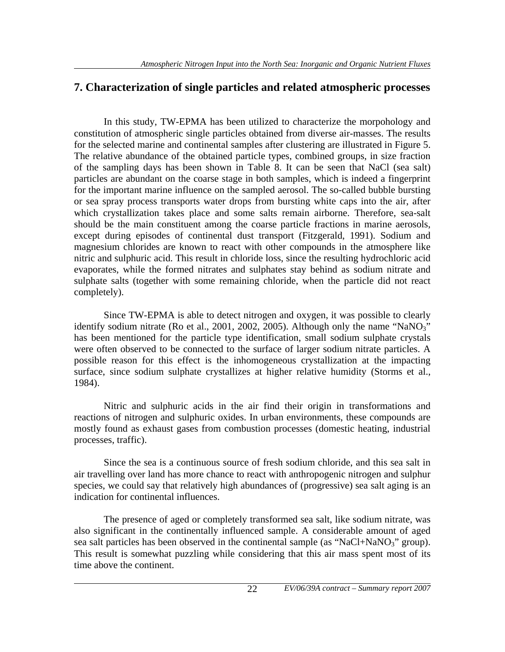#### **7. Characterization of single particles and related atmospheric processes**

 In this study, TW-EPMA has been utilized to characterize the morpohology and constitution of atmospheric single particles obtained from diverse air-masses. The results for the selected marine and continental samples after clustering are illustrated in Figure 5. The relative abundance of the obtained particle types, combined groups, in size fraction of the sampling days has been shown in Table 8. It can be seen that NaCl (sea salt) particles are abundant on the coarse stage in both samples, which is indeed a fingerprint for the important marine influence on the sampled aerosol. The so-called bubble bursting or sea spray process transports water drops from bursting white caps into the air, after which crystallization takes place and some salts remain airborne. Therefore, sea-salt should be the main constituent among the coarse particle fractions in marine aerosols, except during episodes of continental dust transport (Fitzgerald, 1991). Sodium and magnesium chlorides are known to react with other compounds in the atmosphere like nitric and sulphuric acid. This result in chloride loss, since the resulting hydrochloric acid evaporates, while the formed nitrates and sulphates stay behind as sodium nitrate and sulphate salts (together with some remaining chloride, when the particle did not react completely).

 Since TW-EPMA is able to detect nitrogen and oxygen, it was possible to clearly identify sodium nitrate (Ro et al., 2001, 2002, 2005). Although only the name "NaNO3" has been mentioned for the particle type identification, small sodium sulphate crystals were often observed to be connected to the surface of larger sodium nitrate particles. A possible reason for this effect is the inhomogeneous crystallization at the impacting surface, since sodium sulphate crystallizes at higher relative humidity (Storms et al., 1984).

 Nitric and sulphuric acids in the air find their origin in transformations and reactions of nitrogen and sulphuric oxides. In urban environments, these compounds are mostly found as exhaust gases from combustion processes (domestic heating, industrial processes, traffic).

 Since the sea is a continuous source of fresh sodium chloride, and this sea salt in air travelling over land has more chance to react with anthropogenic nitrogen and sulphur species, we could say that relatively high abundances of (progressive) sea salt aging is an indication for continental influences.

 The presence of aged or completely transformed sea salt, like sodium nitrate, was also significant in the continentally influenced sample. A considerable amount of aged sea salt particles has been observed in the continental sample (as "NaCl+NaNO<sub>3</sub>" group). This result is somewhat puzzling while considering that this air mass spent most of its time above the continent.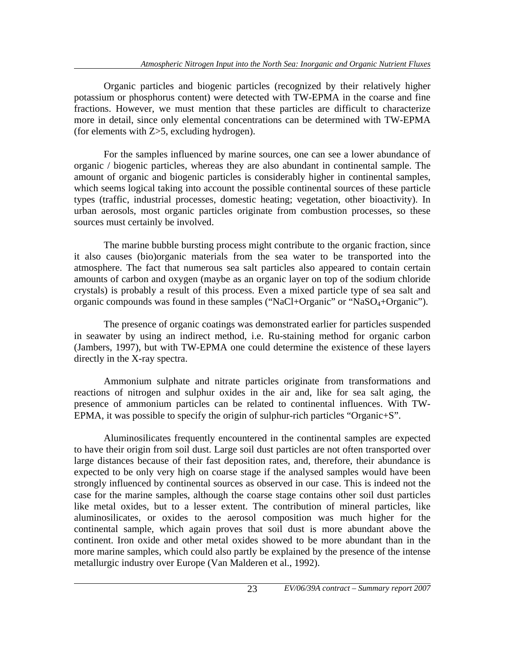Organic particles and biogenic particles (recognized by their relatively higher potassium or phosphorus content) were detected with TW-EPMA in the coarse and fine fractions. However, we must mention that these particles are difficult to characterize more in detail, since only elemental concentrations can be determined with TW-EPMA (for elements with Z>5, excluding hydrogen).

 For the samples influenced by marine sources, one can see a lower abundance of organic / biogenic particles, whereas they are also abundant in continental sample. The amount of organic and biogenic particles is considerably higher in continental samples, which seems logical taking into account the possible continental sources of these particle types (traffic, industrial processes, domestic heating; vegetation, other bioactivity). In urban aerosols, most organic particles originate from combustion processes, so these sources must certainly be involved.

 The marine bubble bursting process might contribute to the organic fraction, since it also causes (bio)organic materials from the sea water to be transported into the atmosphere. The fact that numerous sea salt particles also appeared to contain certain amounts of carbon and oxygen (maybe as an organic layer on top of the sodium chloride crystals) is probably a result of this process. Even a mixed particle type of sea salt and organic compounds was found in these samples ("NaCl+Organic" or "NaSO<sub>4</sub>+Organic").

 The presence of organic coatings was demonstrated earlier for particles suspended in seawater by using an indirect method, i.e. Ru-staining method for organic carbon (Jambers, 1997), but with TW-EPMA one could determine the existence of these layers directly in the X-ray spectra.

 Ammonium sulphate and nitrate particles originate from transformations and reactions of nitrogen and sulphur oxides in the air and, like for sea salt aging, the presence of ammonium particles can be related to continental influences. With TW-EPMA, it was possible to specify the origin of sulphur-rich particles "Organic+S".

 Aluminosilicates frequently encountered in the continental samples are expected to have their origin from soil dust. Large soil dust particles are not often transported over large distances because of their fast deposition rates, and, therefore, their abundance is expected to be only very high on coarse stage if the analysed samples would have been strongly influenced by continental sources as observed in our case. This is indeed not the case for the marine samples, although the coarse stage contains other soil dust particles like metal oxides, but to a lesser extent. The contribution of mineral particles, like aluminosilicates, or oxides to the aerosol composition was much higher for the continental sample, which again proves that soil dust is more abundant above the continent. Iron oxide and other metal oxides showed to be more abundant than in the more marine samples, which could also partly be explained by the presence of the intense metallurgic industry over Europe (Van Malderen et al., 1992).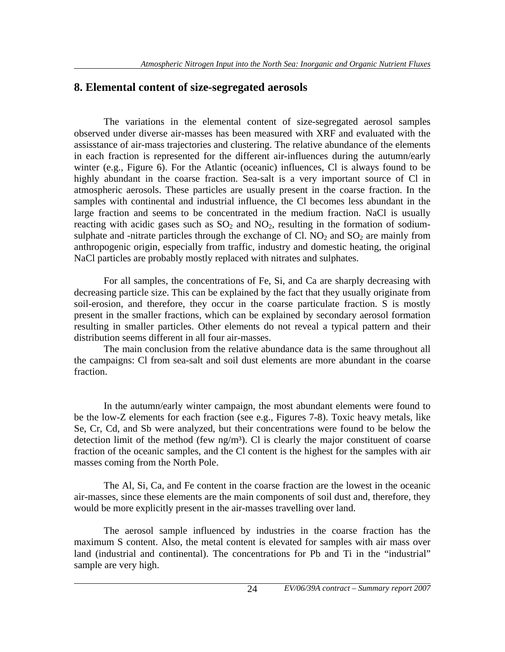#### **8. Elemental content of size-segregated aerosols**

 The variations in the elemental content of size-segregated aerosol samples observed under diverse air-masses has been measured with XRF and evaluated with the assisstance of air-mass trajectories and clustering. The relative abundance of the elements in each fraction is represented for the different air-influences during the autumn/early winter (e.g., Figure 6). For the Atlantic (oceanic) influences, Cl is always found to be highly abundant in the coarse fraction. Sea-salt is a very important source of Cl in atmospheric aerosols. These particles are usually present in the coarse fraction. In the samples with continental and industrial influence, the Cl becomes less abundant in the large fraction and seems to be concentrated in the medium fraction. NaCl is usually reacting with acidic gases such as  $SO_2$  and  $NO_2$ , resulting in the formation of sodiumsulphate and -nitrate particles through the exchange of Cl.  $NO<sub>2</sub>$  and  $SO<sub>2</sub>$  are mainly from anthropogenic origin, especially from traffic, industry and domestic heating, the original NaCl particles are probably mostly replaced with nitrates and sulphates.

 For all samples, the concentrations of Fe, Si, and Ca are sharply decreasing with decreasing particle size. This can be explained by the fact that they usually originate from soil-erosion, and therefore, they occur in the coarse particulate fraction. S is mostly present in the smaller fractions, which can be explained by secondary aerosol formation resulting in smaller particles. Other elements do not reveal a typical pattern and their distribution seems different in all four air-masses.

 The main conclusion from the relative abundance data is the same throughout all the campaigns: Cl from sea-salt and soil dust elements are more abundant in the coarse fraction.

 In the autumn/early winter campaign, the most abundant elements were found to be the low-Z elements for each fraction (see e.g., Figures 7-8). Toxic heavy metals, like Se, Cr, Cd, and Sb were analyzed, but their concentrations were found to be below the detection limit of the method (few  $ng/m<sup>3</sup>$ ). Cl is clearly the major constituent of coarse fraction of the oceanic samples, and the Cl content is the highest for the samples with air masses coming from the North Pole.

 The Al, Si, Ca, and Fe content in the coarse fraction are the lowest in the oceanic air-masses, since these elements are the main components of soil dust and, therefore, they would be more explicitly present in the air-masses travelling over land.

 The aerosol sample influenced by industries in the coarse fraction has the maximum S content. Also, the metal content is elevated for samples with air mass over land (industrial and continental). The concentrations for Pb and Ti in the "industrial" sample are very high.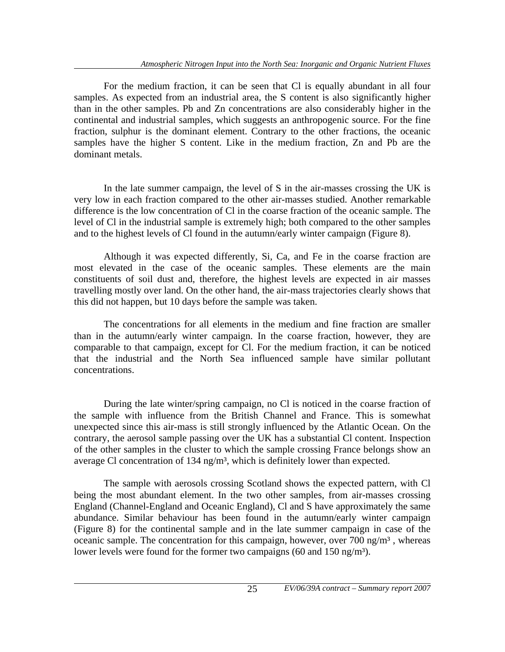For the medium fraction, it can be seen that Cl is equally abundant in all four samples. As expected from an industrial area, the S content is also significantly higher than in the other samples. Pb and Zn concentrations are also considerably higher in the continental and industrial samples, which suggests an anthropogenic source. For the fine fraction, sulphur is the dominant element. Contrary to the other fractions, the oceanic samples have the higher S content. Like in the medium fraction, Zn and Pb are the dominant metals.

 In the late summer campaign, the level of S in the air-masses crossing the UK is very low in each fraction compared to the other air-masses studied. Another remarkable difference is the low concentration of Cl in the coarse fraction of the oceanic sample. The level of Cl in the industrial sample is extremely high; both compared to the other samples and to the highest levels of Cl found in the autumn/early winter campaign (Figure 8).

 Although it was expected differently, Si, Ca, and Fe in the coarse fraction are most elevated in the case of the oceanic samples. These elements are the main constituents of soil dust and, therefore, the highest levels are expected in air masses travelling mostly over land. On the other hand, the air-mass trajectories clearly shows that this did not happen, but 10 days before the sample was taken.

 The concentrations for all elements in the medium and fine fraction are smaller than in the autumn/early winter campaign. In the coarse fraction, however, they are comparable to that campaign, except for Cl. For the medium fraction, it can be noticed that the industrial and the North Sea influenced sample have similar pollutant concentrations.

 During the late winter/spring campaign, no Cl is noticed in the coarse fraction of the sample with influence from the British Channel and France. This is somewhat unexpected since this air-mass is still strongly influenced by the Atlantic Ocean. On the contrary, the aerosol sample passing over the UK has a substantial Cl content. Inspection of the other samples in the cluster to which the sample crossing France belongs show an average Cl concentration of 134 ng/m<sup>3</sup>, which is definitely lower than expected.

 The sample with aerosols crossing Scotland shows the expected pattern, with Cl being the most abundant element. In the two other samples, from air-masses crossing England (Channel-England and Oceanic England), Cl and S have approximately the same abundance. Similar behaviour has been found in the autumn/early winter campaign (Figure 8) for the continental sample and in the late summer campaign in case of the oceanic sample. The concentration for this campaign, however, over 700 ng/ $m<sup>3</sup>$ , whereas lower levels were found for the former two campaigns (60 and 150 ng/m<sup>3</sup>).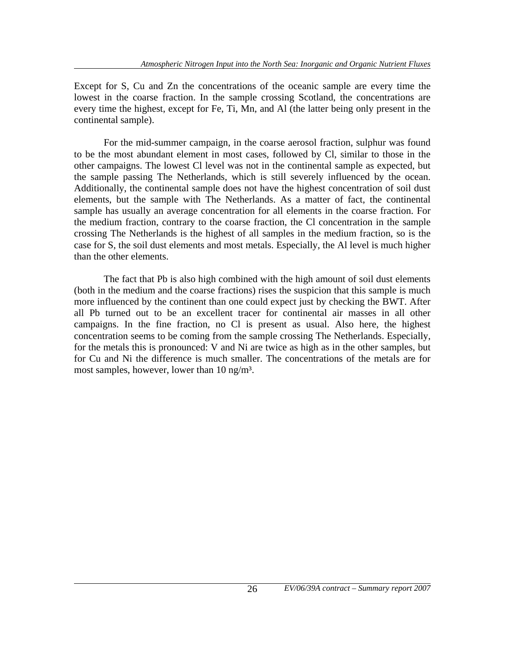Except for S, Cu and Zn the concentrations of the oceanic sample are every time the lowest in the coarse fraction. In the sample crossing Scotland, the concentrations are every time the highest, except for Fe, Ti, Mn, and Al (the latter being only present in the continental sample).

 For the mid-summer campaign, in the coarse aerosol fraction, sulphur was found to be the most abundant element in most cases, followed by Cl, similar to those in the other campaigns. The lowest Cl level was not in the continental sample as expected, but the sample passing The Netherlands, which is still severely influenced by the ocean. Additionally, the continental sample does not have the highest concentration of soil dust elements, but the sample with The Netherlands. As a matter of fact, the continental sample has usually an average concentration for all elements in the coarse fraction. For the medium fraction, contrary to the coarse fraction, the Cl concentration in the sample crossing The Netherlands is the highest of all samples in the medium fraction, so is the case for S, the soil dust elements and most metals. Especially, the Al level is much higher than the other elements.

 The fact that Pb is also high combined with the high amount of soil dust elements (both in the medium and the coarse fractions) rises the suspicion that this sample is much more influenced by the continent than one could expect just by checking the BWT. After all Pb turned out to be an excellent tracer for continental air masses in all other campaigns. In the fine fraction, no Cl is present as usual. Also here, the highest concentration seems to be coming from the sample crossing The Netherlands. Especially, for the metals this is pronounced: V and Ni are twice as high as in the other samples, but for Cu and Ni the difference is much smaller. The concentrations of the metals are for most samples, however, lower than 10 ng/m<sup>3</sup>.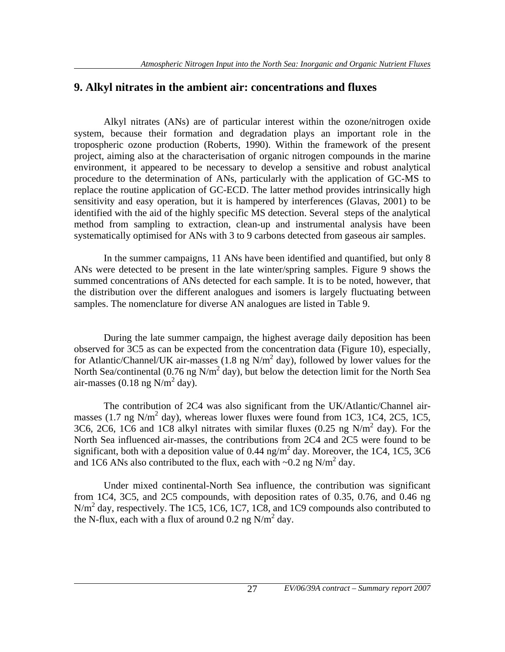#### **9. Alkyl nitrates in the ambient air: concentrations and fluxes**

 Alkyl nitrates (ANs) are of particular interest within the ozone/nitrogen oxide system, because their formation and degradation plays an important role in the tropospheric ozone production (Roberts, 1990). Within the framework of the present project, aiming also at the characterisation of organic nitrogen compounds in the marine environment, it appeared to be necessary to develop a sensitive and robust analytical procedure to the determination of ANs, particularly with the application of GC-MS to replace the routine application of GC-ECD. The latter method provides intrinsically high sensitivity and easy operation, but it is hampered by interferences (Glavas, 2001) to be identified with the aid of the highly specific MS detection. Several steps of the analytical method from sampling to extraction, clean-up and instrumental analysis have been systematically optimised for ANs with 3 to 9 carbons detected from gaseous air samples.

 In the summer campaigns, 11 ANs have been identified and quantified, but only 8 ANs were detected to be present in the late winter/spring samples. Figure 9 shows the summed concentrations of ANs detected for each sample. It is to be noted, however, that the distribution over the different analogues and isomers is largely fluctuating between samples. The nomenclature for diverse AN analogues are listed in Table 9.

 During the late summer campaign, the highest average daily deposition has been observed for 3C5 as can be expected from the concentration data (Figure 10), especially, for Atlantic/Channel/UK air-masses  $(1.8 \text{ ng N/m}^2 \text{ day})$ , followed by lower values for the North Sea/continental (0.76 ng  $N/m^2$  day), but below the detection limit for the North Sea air-masses (0.18 ng  $N/m^2$  day).

 The contribution of 2C4 was also significant from the UK/Atlantic/Channel airmasses (1.7 ng N/m<sup>2</sup> day), whereas lower fluxes were found from 1C3, 1C4, 2C5, 1C5, 3C6, 2C6, 1C6 and 1C8 alkyl nitrates with similar fluxes (0.25 ng  $N/m^2$  day). For the North Sea influenced air-masses, the contributions from 2C4 and 2C5 were found to be significant, both with a deposition value of 0.44  $\text{ng/m}^2$  day. Moreover, the 1C4, 1C5, 3C6 and 1C6 ANs also contributed to the flux, each with  $\sim 0.2$  ng N/m<sup>2</sup> day.

 Under mixed continental-North Sea influence, the contribution was significant from 1C4, 3C5, and 2C5 compounds, with deposition rates of 0.35, 0.76, and 0.46 ng N/m<sup>2</sup> day, respectively. The 1C5, 1C6, 1C7, 1C8, and 1C9 compounds also contributed to the N-flux, each with a flux of around  $0.2$  ng N/m<sup>2</sup> day.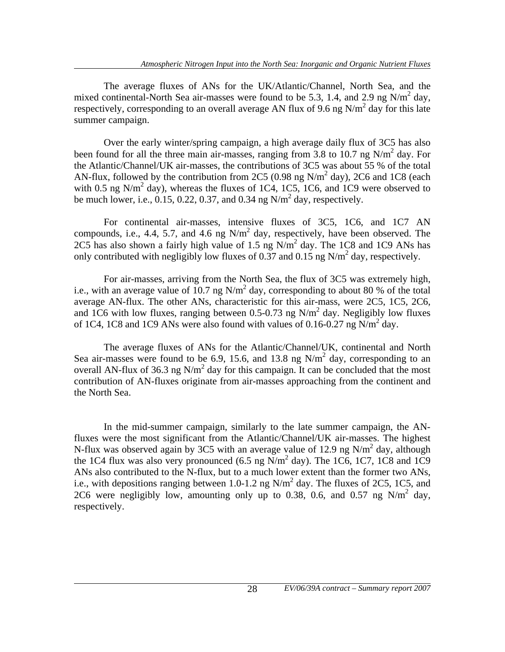The average fluxes of ANs for the UK/Atlantic/Channel, North Sea, and the mixed continental-North Sea air-masses were found to be 5.3, 1.4, and 2.9 ng  $N/m<sup>2</sup>$  day, respectively, corresponding to an overall average AN flux of 9.6 ng  $N/m^2$  day for this late summer campaign.

 Over the early winter/spring campaign, a high average daily flux of 3C5 has also been found for all the three main air-masses, ranging from 3.8 to 10.7 ng  $N/m^2$  day. For the Atlantic/Channel/UK air-masses, the contributions of 3C5 was about 55 % of the total AN-flux, followed by the contribution from 2C5 (0.98 ng N/m<sup>2</sup> day), 2C6 and 1C8 (each with 0.5 ng N/m<sup>2</sup> day), whereas the fluxes of 1C4, 1C5, 1C6, and 1C9 were observed to be much lower, i.e.,  $0.15$ ,  $0.22$ ,  $0.37$ , and  $0.34$  ng N/m<sup>2</sup> day, respectively.

 For continental air-masses, intensive fluxes of 3C5, 1C6, and 1C7 AN compounds, i.e., 4.4, 5.7, and 4.6 ng  $N/m<sup>2</sup>$  day, respectively, have been observed. The 2C5 has also shown a fairly high value of 1.5 ng  $N/m^2$  day. The 1C8 and 1C9 ANs has only contributed with negligibly low fluxes of 0.37 and 0.15 ng N/m<sup>2</sup> day, respectively.

 For air-masses, arriving from the North Sea, the flux of 3C5 was extremely high, i.e., with an average value of 10.7 ng  $N/m^2$  day, corresponding to about 80 % of the total average AN-flux. The other ANs, characteristic for this air-mass, were 2C5, 1C5, 2C6, and 1C6 with low fluxes, ranging between 0.5-0.73 ng  $N/m<sup>2</sup>$  day. Negligibly low fluxes of 1C4, 1C8 and 1C9 ANs were also found with values of 0.16-0.27 ng  $N/m^2$  day.

 The average fluxes of ANs for the Atlantic/Channel/UK, continental and North Sea air-masses were found to be 6.9, 15.6, and 13.8 ng  $N/m<sup>2</sup>$  day, corresponding to an overall AN-flux of 36.3 ng  $N/m^2$  day for this campaign. It can be concluded that the most contribution of AN-fluxes originate from air-masses approaching from the continent and the North Sea.

 In the mid-summer campaign, similarly to the late summer campaign, the ANfluxes were the most significant from the Atlantic/Channel/UK air-masses. The highest N-flux was observed again by 3C5 with an average value of 12.9 ng N/ $m^2$  day, although the 1C4 flux was also very pronounced  $(6.5 \text{ ng N/m}^2 \text{ day})$ . The 1C6, 1C7, 1C8 and 1C9 ANs also contributed to the N-flux, but to a much lower extent than the former two ANs, i.e., with depositions ranging between 1.0-1.2 ng  $N/m^2$  day. The fluxes of 2C5, 1C5, and 2C6 were negligibly low, amounting only up to 0.38, 0.6, and 0.57 ng  $N/m^2$  day, respectively.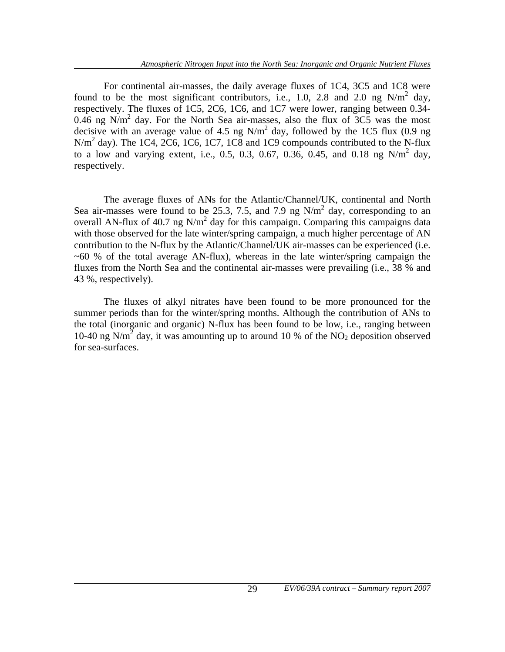For continental air-masses, the daily average fluxes of 1C4, 3C5 and 1C8 were found to be the most significant contributors, i.e., 1.0, 2.8 and 2.0 ng  $N/m^2$  day, respectively. The fluxes of 1C5, 2C6, 1C6, and 1C7 were lower, ranging between 0.34- 0.46 ng N/m<sup>2</sup> day. For the North Sea air-masses, also the flux of  $3C5$  was the most decisive with an average value of 4.5 ng  $N/m^2$  day, followed by the 1C5 flux (0.9 ng  $N/m<sup>2</sup>$  day). The 1C4, 2C6, 1C6, 1C7, 1C8 and 1C9 compounds contributed to the N-flux to a low and varying extent, i.e., 0.5, 0.3, 0.67, 0.36, 0.45, and 0.18 ng  $N/m^2$  day, respectively.

 The average fluxes of ANs for the Atlantic/Channel/UK, continental and North Sea air-masses were found to be 25.3, 7.5, and 7.9 ng  $N/m<sup>2</sup>$  day, corresponding to an overall AN-flux of 40.7 ng  $N/m^2$  day for this campaign. Comparing this campaigns data with those observed for the late winter/spring campaign, a much higher percentage of AN contribution to the N-flux by the Atlantic/Channel/UK air-masses can be experienced (i.e.  $\sim 60$  % of the total average AN-flux), whereas in the late winter/spring campaign the fluxes from the North Sea and the continental air-masses were prevailing (i.e., 38 % and 43 %, respectively).

 The fluxes of alkyl nitrates have been found to be more pronounced for the summer periods than for the winter/spring months. Although the contribution of ANs to the total (inorganic and organic) N-flux has been found to be low, i.e., ranging between 10-40 ng  $N/m^2$  day, it was amounting up to around 10 % of the  $NO<sub>2</sub>$  deposition observed for sea-surfaces.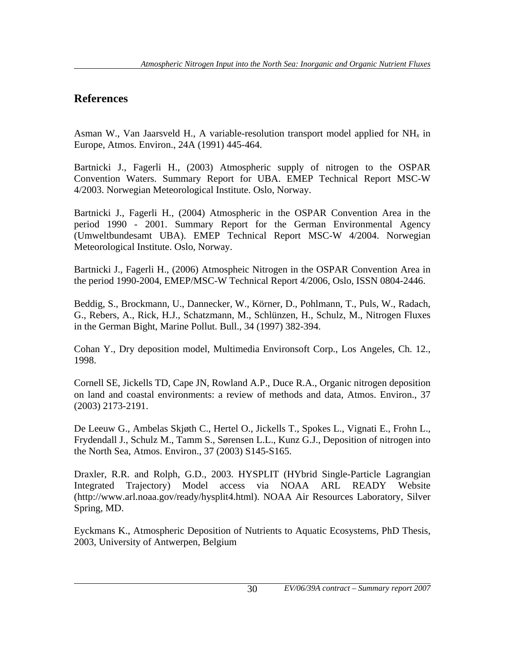### **References**

Asman W., Van Jaarsveld H., A variable-resolution transport model applied for NH*x* in Europe, Atmos. Environ., 24A (1991) 445-464.

Bartnicki J., Fagerli H., (2003) Atmospheric supply of nitrogen to the OSPAR Convention Waters. Summary Report for UBA. EMEP Technical Report MSC-W 4/2003. Norwegian Meteorological Institute. Oslo, Norway.

Bartnicki J., Fagerli H., (2004) Atmospheric in the OSPAR Convention Area in the period 1990 - 2001. Summary Report for the German Environmental Agency (Umweltbundesamt UBA). EMEP Technical Report MSC-W 4/2004. Norwegian Meteorological Institute. Oslo, Norway.

Bartnicki J., Fagerli H., (2006) Atmospheic Nitrogen in the OSPAR Convention Area in the period 1990-2004, EMEP/MSC-W Technical Report 4/2006, Oslo, ISSN 0804-2446.

Beddig, S., Brockmann, U., Dannecker, W., Körner, D., Pohlmann, T., Puls, W., Radach, G., Rebers, A., Rick, H.J., Schatzmann, M., Schlünzen, H., Schulz, M., Nitrogen Fluxes in the German Bight, Marine Pollut. Bull., 34 (1997) 382-394.

Cohan Y., Dry deposition model, Multimedia Environsoft Corp., Los Angeles, Ch. 12., 1998.

Cornell SE, Jickells TD, Cape JN, Rowland A.P., Duce R.A., Organic nitrogen deposition on land and coastal environments: a review of methods and data, Atmos. Environ., 37 (2003) 2173-2191.

De Leeuw G., Ambelas Skjøth C., Hertel O., Jickells T., Spokes L., Vignati E., Frohn L., Frydendall J., Schulz M., Tamm S., Sørensen L.L., Kunz G.J., Deposition of nitrogen into the North Sea, Atmos. Environ., 37 (2003) S145-S165.

Draxler, R.R. and Rolph, G.D., 2003. HYSPLIT (HYbrid Single-Particle Lagrangian Integrated Trajectory) Model access via NOAA ARL READY Website (http://www.arl.noaa.gov/ready/hysplit4.html). NOAA Air Resources Laboratory, Silver Spring, MD.

Eyckmans K., Atmospheric Deposition of Nutrients to Aquatic Ecosystems, PhD Thesis, 2003, University of Antwerpen, Belgium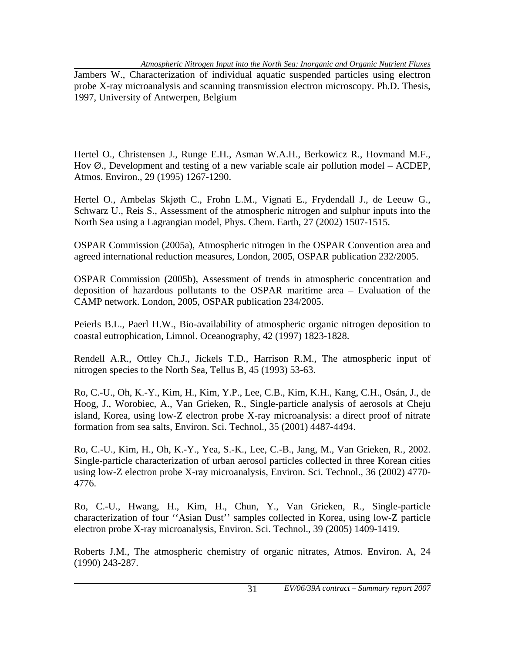Jambers W., Characterization of individual aquatic suspended particles using electron probe X-ray microanalysis and scanning transmission electron microscopy. Ph.D. Thesis, 1997, University of Antwerpen, Belgium

Hertel O., Christensen J., Runge E.H., Asman W.A.H., Berkowicz R., Hovmand M.F., Hov  $\emptyset$ ., Development and testing of a new variable scale air pollution model – ACDEP, Atmos. Environ., 29 (1995) 1267-1290.

Hertel O., Ambelas Skjøth C., Frohn L.M., Vignati E., Frydendall J., de Leeuw G., Schwarz U., Reis S., Assessment of the atmospheric nitrogen and sulphur inputs into the North Sea using a Lagrangian model, Phys. Chem. Earth, 27 (2002) 1507-1515.

OSPAR Commission (2005a), Atmospheric nitrogen in the OSPAR Convention area and agreed international reduction measures, London, 2005, OSPAR publication 232/2005.

OSPAR Commission (2005b), Assessment of trends in atmospheric concentration and deposition of hazardous pollutants to the OSPAR maritime area – Evaluation of the CAMP network. London, 2005, OSPAR publication 234/2005.

Peierls B.L., Paerl H.W., Bio-availability of atmospheric organic nitrogen deposition to coastal eutrophication, Limnol. Oceanography, 42 (1997) 1823-1828.

Rendell A.R., Ottley Ch.J., Jickels T.D., Harrison R.M., The atmospheric input of nitrogen species to the North Sea, Tellus B, 45 (1993) 53-63.

Ro, C.-U., Oh, K.-Y., Kim, H., Kim, Y.P., Lee, C.B., Kim, K.H., Kang, C.H., Osán, J., de Hoog, J., Worobiec, A., Van Grieken, R., Single-particle analysis of aerosols at Cheju island, Korea, using low-Z electron probe X-ray microanalysis: a direct proof of nitrate formation from sea salts, Environ. Sci. Technol., 35 (2001) 4487-4494.

Ro, C.-U., Kim, H., Oh, K.-Y., Yea, S.-K., Lee, C.-B., Jang, M., Van Grieken, R., 2002. Single-particle characterization of urban aerosol particles collected in three Korean cities using low-Z electron probe X-ray microanalysis, Environ. Sci. Technol., 36 (2002) 4770- 4776.

Ro, C.-U., Hwang, H., Kim, H., Chun, Y., Van Grieken, R., Single-particle characterization of four ''Asian Dust'' samples collected in Korea, using low-Z particle electron probe X-ray microanalysis, Environ. Sci. Technol., 39 (2005) 1409-1419.

Roberts J.M., The atmospheric chemistry of organic nitrates, Atmos. Environ. A, 24 (1990) 243-287.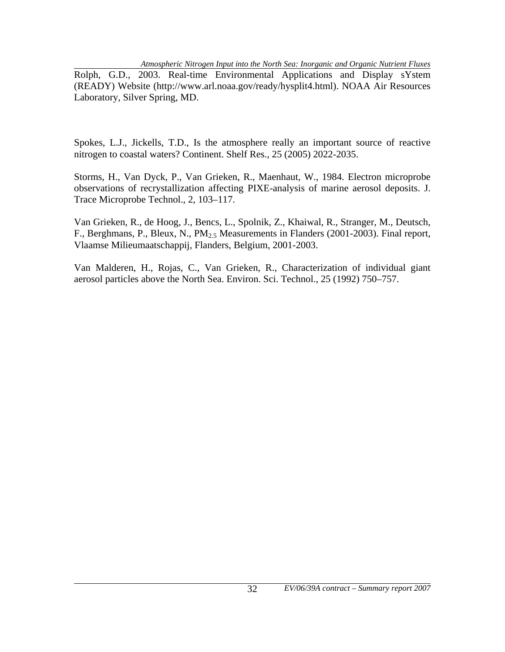*Atmospheric Nitrogen Input into the North Sea: Inorganic and Organic Nutrient Fluxes* 

Rolph, G.D., 2003. Real-time Environmental Applications and Display sYstem (READY) Website (http://www.arl.noaa.gov/ready/hysplit4.html). NOAA Air Resources Laboratory, Silver Spring, MD.

Spokes, L.J., Jickells, T.D., Is the atmosphere really an important source of reactive nitrogen to coastal waters? Continent. Shelf Res., 25 (2005) 2022-2035.

Storms, H., Van Dyck, P., Van Grieken, R., Maenhaut, W., 1984. Electron microprobe observations of recrystallization affecting PIXE-analysis of marine aerosol deposits. J. Trace Microprobe Technol., 2, 103–117.

Van Grieken, R., de Hoog, J., Bencs, L., Spolnik, Z., Khaiwal, R., Stranger, M., Deutsch, F., Berghmans, P., Bleux, N., PM<sub>2.5</sub> Measurements in Flanders (2001-2003). Final report, Vlaamse Milieumaatschappij, Flanders, Belgium, 2001-2003.

Van Malderen, H., Rojas, C., Van Grieken, R., Characterization of individual giant aerosol particles above the North Sea. Environ. Sci. Technol., 25 (1992) 750–757.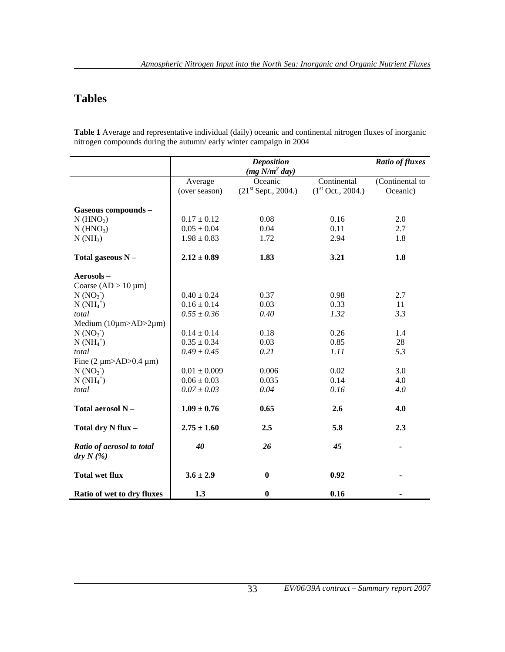## **Tables**

**Table 1** Average and representative individual (daily) oceanic and continental nitrogen fluxes of inorganic nitrogen compounds during the autumn/ early winter campaign in 2004

|                                       |                          | <b>Deposition</b><br>$(mg N/m^2 day)$ |                                              | <b>Ratio of fluxes</b>      |
|---------------------------------------|--------------------------|---------------------------------------|----------------------------------------------|-----------------------------|
|                                       | Average<br>(over season) | Oceanic<br>$(21st$ Sept., 2004.)      | Continental<br>(1 <sup>st</sup> Oct., 2004.) | (Continental to<br>Oceanic) |
| Gaseous compounds -                   |                          |                                       |                                              |                             |
| $N$ (HNO <sub>2</sub> )               | $0.17 \pm 0.12$          | 0.08                                  | 0.16                                         | 2.0                         |
|                                       | $0.05 \pm 0.04$          | 0.04                                  | 0.11                                         | 2.7                         |
| $N$ (HNO <sub>3</sub> )               |                          |                                       |                                              |                             |
| $N(NH_3)$                             | $1.98 \pm 0.83$          | 1.72                                  | 2.94                                         | 1.8                         |
| Total gaseous N -                     | $2.12 \pm 0.89$          | 1.83                                  | 3.21                                         | 1.8                         |
| Aerosols-                             |                          |                                       |                                              |                             |
| Coarse $(AD > 10 \mu m)$              |                          |                                       |                                              |                             |
| N (NO <sub>3</sub> )                  | $0.40 \pm 0.24$          | 0.37                                  | 0.98                                         | 2.7                         |
| $N(NH_4^+)$                           | $0.16 \pm 0.14$          | 0.03                                  | 0.33                                         | 11                          |
| total                                 | $0.55 \pm 0.36$          | 0.40                                  | 1.32                                         | 3.3                         |
| Medium $(10\mu m>AD>2\mu m)$          |                          |                                       |                                              |                             |
| N (NO <sub>3</sub> )                  | $0.14 \pm 0.14$          | 0.18                                  | 0.26                                         | 1.4                         |
| $N(NH_4^+)$                           | $0.35 \pm 0.34$          | 0.03                                  | 0.85                                         | 28                          |
| total                                 | $0.49 \pm 0.45$          | 0.21                                  | 1.11                                         | 5.3                         |
| Fine $(2 \mu m > AD > 0.4 \mu m)$     |                          |                                       |                                              |                             |
| N (NO <sub>3</sub> )                  | $0.01 \pm 0.009$         | 0.006                                 | 0.02                                         | 3.0                         |
| $N(NH_4^+)$                           | $0.06 \pm 0.03$          | 0.035                                 | 0.14                                         | 4.0                         |
| total                                 | $0.07 \pm 0.03$          | 0.04                                  | 0.16                                         | 4.0                         |
|                                       |                          |                                       |                                              |                             |
| Total aerosol N -                     | $1.09 \pm 0.76$          | 0.65                                  | 2.6                                          | 4.0                         |
| Total dry N flux -                    | $2.75 \pm 1.60$          | 2.5                                   | 5.8                                          | 2.3                         |
| Ratio of aerosol to total<br>dry N(%) | 40                       | 26                                    | 45                                           |                             |
| <b>Total wet flux</b>                 | $3.6 \pm 2.9$            | $\bf{0}$                              | 0.92                                         |                             |
| Ratio of wet to dry fluxes            | 1.3                      | $\bf{0}$                              | 0.16                                         |                             |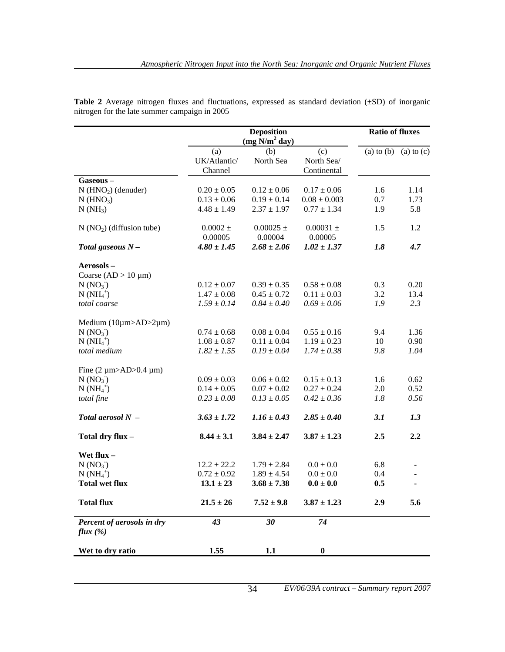|                                       |                                | <b>Ratio of fluxes</b>                        |                                  |                |                |
|---------------------------------------|--------------------------------|-----------------------------------------------|----------------------------------|----------------|----------------|
|                                       | (a)<br>UK/Atlantic/<br>Channel | (mg N/m <sup>2</sup> day)<br>(b)<br>North Sea | (c)<br>North Sea/<br>Continental | $(a)$ to $(b)$ | $(a)$ to $(c)$ |
| Gaseous-                              |                                |                                               |                                  |                |                |
| $N$ (HNO <sub>2</sub> ) (denuder)     | $0.20 \pm 0.05$                | $0.12 \pm 0.06$                               | $0.17 \pm 0.06$                  | 1.6            | 1.14           |
| $N$ (HNO <sub>3</sub> )               | $0.13 \pm 0.06$                | $0.19 \pm 0.14$                               | $0.08 \pm 0.003$                 | 0.7            | 1.73           |
| $N(NH_3)$                             | $4.48 \pm 1.49$                | $2.37 \pm 1.97$                               | $0.77 \pm 1.34$                  | 1.9            | 5.8            |
| $N(NO2)$ (diffusion tube)             | $0.0002$ $\pm$<br>0.00005      | $0.00025 \pm$<br>0.00004                      | $0.00031 \pm$<br>0.00005         | 1.5            | 1.2            |
| Total gaseous $N-$                    | $4.80 \pm 1.45$                | $2.68 \pm 2.06$                               | $1.02 \pm 1.37$                  | 1.8            | 4.7            |
| Aerosols-                             |                                |                                               |                                  |                |                |
| Coarse $(AD > 10 \mu m)$              |                                |                                               |                                  |                |                |
| N (NO <sub>3</sub> )                  | $0.12 \pm 0.07$                | $0.39 \pm 0.35$                               | $0.58 \pm 0.08$                  | 0.3            | 0.20           |
| $N(NH_4^+)$                           | $1.47 \pm 0.08$                | $0.45 \pm 0.72$                               | $0.11 \pm 0.03$                  | 3.2            | 13.4           |
| total coarse                          | $1.59 \pm 0.14$                | $0.84 \pm 0.40$                               | $0.69 \pm 0.06$                  | 1.9            | 2.3            |
| Medium $(10\mu m>AD>2\mu m)$          |                                |                                               |                                  |                |                |
| N (NO <sub>3</sub> )                  | $0.74 \pm 0.68$                | $0.08 \pm 0.04$                               | $0.55 \pm 0.16$                  | 9.4            | 1.36           |
| $N(NH_4^+)$                           | $1.08 \pm 0.87$                | $0.11 \pm 0.04$                               | $1.19 \pm 0.23$                  | 10             | 0.90           |
| total medium                          | $1.82 \pm 1.55$                | $0.19 \pm 0.04$                               | $1.74 \pm 0.38$                  | 9.8            | 1.04           |
| Fine $(2 \mu m > AD > 0.4 \mu m)$     |                                |                                               |                                  |                |                |
| N (NO <sub>3</sub> )                  | $0.09 \pm 0.03$                | $0.06 \pm 0.02$                               | $0.15 \pm 0.13$                  | 1.6            | 0.62           |
| $N(NH_4^+)$                           | $0.14 \pm 0.05$                | $0.07 \pm 0.02$                               | $0.27 \pm 0.24$                  | 2.0            | 0.52           |
| total fine                            | $0.23 \pm 0.08$                | $0.13 \pm 0.05$                               | $0.42 \pm 0.36$                  | 1.8            | 0.56           |
| Total aerosol $N -$                   | $3.63 \pm 1.72$                | $1.16 \pm 0.43$                               | $2.85 \pm 0.40$                  | 3.1            | 1.3            |
| Total dry flux -                      | $8.44 \pm 3.1$                 | $3.84 \pm 2.47$                               | $3.87 \pm 1.23$                  | 2.5            | 2.2            |
| Wet flux -                            |                                |                                               |                                  |                |                |
| $N(NO_3)$                             | $12.2 \pm 22.2$                | $1.79 \pm 2.84$                               | $0.0 \pm 0.0$                    | 6.8            |                |
| $N(NH_4^+)$                           | $0.72 \pm 0.92$                | $1.89 \pm 4.54$                               | $0.0 \pm 0.0$                    | 0.4            |                |
| <b>Total wet flux</b>                 | $13.1 \pm 23$                  | $3.68 \pm 7.38$                               | $0.0 \pm 0.0$                    | 0.5            | $\blacksquare$ |
| <b>Total flux</b>                     | $21.5 \pm 26$                  | $7.52 \pm 9.8$                                | $3.87 \pm 1.23$                  | 2.9            | 5.6            |
| Percent of aerosols in dry<br>flux(%) | 43                             | 30                                            | 74                               |                |                |
| Wet to dry ratio                      | 1.55                           | 1.1                                           | $\boldsymbol{0}$                 |                |                |

**Table 2** Average nitrogen fluxes and fluctuations, expressed as standard deviation (±SD) of inorganic nitrogen for the late summer campaign in 2005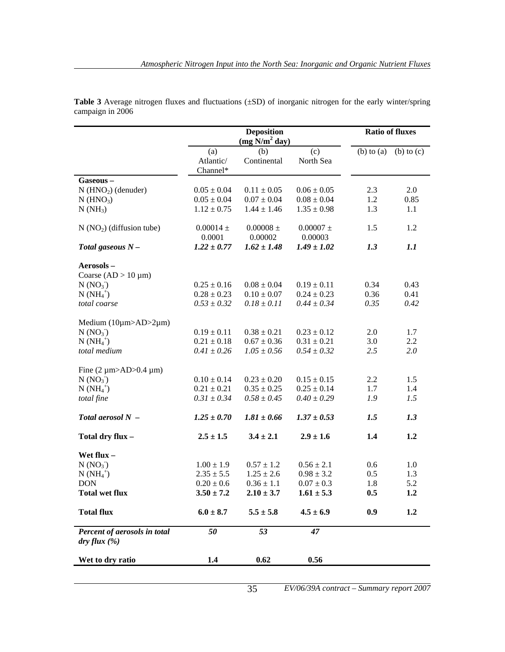|                                              |                              | <b>Ratio of fluxes</b>                          |                          |                |                |
|----------------------------------------------|------------------------------|-------------------------------------------------|--------------------------|----------------|----------------|
|                                              | (a)<br>Atlantic/<br>Channel* | (mg N/m <sup>2</sup> day)<br>(b)<br>Continental | (c)<br>North Sea         | $(b)$ to $(a)$ | $(b)$ to $(c)$ |
| Gaseous-                                     |                              |                                                 |                          |                |                |
| $N$ (HNO <sub>2</sub> ) (denuder)            | $0.05 \pm 0.04$              | $0.11 \pm 0.05$                                 | $0.06 \pm 0.05$          | 2.3            | 2.0            |
| $N$ (HNO <sub>3</sub> )                      | $0.05 \pm 0.04$              | $0.07 \pm 0.04$                                 | $0.08 \pm 0.04$          | 1.2            | 0.85           |
| $N(NH_3)$                                    | $1.12 \pm 0.75$              | $1.44 \pm 1.46$                                 | $1.35 \pm 0.98$          | 1.3            | 1.1            |
| $N(NO2)$ (diffusion tube)                    | $0.00014 \pm$<br>0.0001      | $0.00008 \pm$<br>0.00002                        | $0.00007 \pm$<br>0.00003 | 1.5            | 1.2            |
| Total gaseous $N-$                           | $1.22 \pm 0.77$              | $1.62 \pm 1.48$                                 | $1.49 \pm 1.02$          | 1.3            | 1.1            |
| Aerosols-                                    |                              |                                                 |                          |                |                |
| Coarse $(AD > 10 \mu m)$                     |                              |                                                 |                          |                |                |
| N (NO <sub>3</sub> )                         | $0.25 \pm 0.16$              | $0.08 \pm 0.04$                                 | $0.19 \pm 0.11$          | 0.34           | 0.43           |
| $N(NH_4^+)$                                  | $0.28 \pm 0.23$              | $0.10 \pm 0.07$                                 | $0.24 \pm 0.23$          | 0.36           | 0.41           |
| total coarse                                 | $0.53 \pm 0.32$              | $0.18 \pm 0.11$                                 | $0.44 \pm 0.34$          | 0.35           | 0.42           |
| Medium $(10\mu m>AD>2\mu m)$                 |                              |                                                 |                          |                |                |
| N (NO <sub>3</sub> )                         | $0.19 \pm 0.11$              | $0.38 \pm 0.21$                                 | $0.23 \pm 0.12$          | 2.0            | 1.7            |
| $N(NH_4^+)$                                  | $0.21 \pm 0.18$              | $0.67 \pm 0.36$                                 | $0.31 \pm 0.21$          | 3.0            | 2.2            |
| total medium                                 | $0.41 \pm 0.26$              | $1.05 \pm 0.56$                                 | $0.54 \pm 0.32$          | 2.5            | 2.0            |
| Fine $(2 \mu m > AD > 0.4 \mu m)$            |                              |                                                 |                          |                |                |
| N (NO <sub>3</sub> )                         | $0.10 \pm 0.14$              | $0.23 \pm 0.20$                                 | $0.15 \pm 0.15$          | 2.2            | 1.5            |
| $N(NH_4^+)$                                  | $0.21 \pm 0.21$              | $0.35 \pm 0.25$                                 | $0.25 \pm 0.14$          | 1.7            | 1.4            |
| total fine                                   | $0.31 \pm 0.34$              | $0.58 \pm 0.45$                                 | $0.40 \pm 0.29$          | 1.9            | 1.5            |
| Total aerosol $N -$                          | $1.25 \pm 0.70$              | $1.81 \pm 0.66$                                 | $1.37 \pm 0.53$          | 1.5            | 1.3            |
| Total dry flux -                             | $2.5 \pm 1.5$                | $3.4 \pm 2.1$                                   | $2.9 \pm 1.6$            | 1.4            | 1.2            |
| Wet flux -                                   |                              |                                                 |                          |                |                |
| N (NO <sub>3</sub> )                         | $1.00 \pm 1.9$               | $0.57 \pm 1.2$                                  | $0.56 \pm 2.1$           | 0.6            | 1.0            |
| $N(NH_4^+)$                                  | $2.35 \pm 5.5$               | $1.25 \pm 2.6$                                  | $0.98 \pm 3.2$           | 0.5            | 1.3            |
| <b>DON</b>                                   | $0.20 \pm 0.6$               | $0.36 \pm 1.1$                                  | $0.07 \pm 0.3$           | 1.8            | 5.2            |
| Total wet flux                               | $3.50 \pm 7.2$               | $2.10 \pm 3.7$                                  | $1.61 \pm 5.3$           | 0.5            | 1.2            |
| <b>Total flux</b>                            | $6.0 \pm 8.7$                | $5.5 \pm 5.8$                                   | $4.5 \pm 6.9$            | 0.9            | 1.2            |
| Percent of aerosols in total<br>dry flux (%) | 50                           | 53                                              | 47                       |                |                |
| Wet to dry ratio                             | 1.4                          | 0.62                                            | 0.56                     |                |                |

**Table 3** Average nitrogen fluxes and fluctuations (±SD) of inorganic nitrogen for the early winter/spring campaign in 2006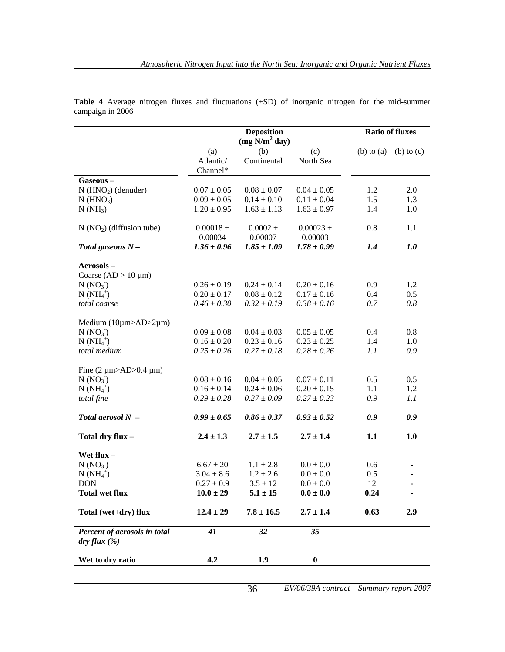|                                              |                              | <b>Ratio of fluxes</b>                       |                          |                |                |
|----------------------------------------------|------------------------------|----------------------------------------------|--------------------------|----------------|----------------|
|                                              | (a)<br>Atlantic/<br>Channel* | $(mg\bar{N}/m^2\,day)$<br>(b)<br>Continental | (c)<br>North Sea         | $(b)$ to $(a)$ | $(b)$ to $(c)$ |
| Gaseous-                                     |                              |                                              |                          |                |                |
| $N$ (HNO <sub>2</sub> ) (denuder)            | $0.07 \pm 0.05$              | $0.08 \pm 0.07$                              | $0.04 \pm 0.05$          | 1.2            | 2.0            |
| $N$ (HNO <sub>3</sub> )                      | $0.09 \pm 0.05$              | $0.14 \pm 0.10$                              | $0.11 \pm 0.04$          | 1.5            | 1.3            |
| $N(NH_3)$                                    | $1.20 \pm 0.95$              | $1.63 \pm 1.13$                              | $1.63 \pm 0.97$          | 1.4            | 1.0            |
| $N(NO2)$ (diffusion tube)                    | $0.00018 \pm$<br>0.00034     | $0.0002 \pm$<br>0.00007                      | $0.00023 \pm$<br>0.00003 | 0.8            | 1.1            |
| Total gaseous $N-$                           | $1.36 \pm 0.96$              | $1.85 \pm 1.09$                              | $1.78 \pm 0.99$          | 1.4            | 1.0            |
| Aerosols-                                    |                              |                                              |                          |                |                |
| Coarse $(AD > 10 \mu m)$                     |                              |                                              |                          |                |                |
| N (NO <sub>3</sub> )                         | $0.26 \pm 0.19$              | $0.24 \pm 0.14$                              | $0.20 \pm 0.16$          | 0.9            | 1.2            |
| $N(NH_4^+)$                                  | $0.20 \pm 0.17$              | $0.08 \pm 0.12$                              | $0.17 \pm 0.16$          | 0.4            | 0.5            |
| total coarse                                 | $0.46 \pm 0.30$              | $0.32 \pm 0.19$                              | $0.38 \pm 0.16$          | 0.7            | 0.8            |
| Medium $(10\mu m>AD>2\mu m)$                 |                              |                                              |                          |                |                |
| N (NO <sub>3</sub> )                         | $0.09 \pm 0.08$              | $0.04 \pm 0.03$                              | $0.05 \pm 0.05$          | 0.4            | 0.8            |
| $N(NH_4^+)$                                  | $0.16 \pm 0.20$              | $0.23 \pm 0.16$                              | $0.23 \pm 0.25$          | 1.4            | 1.0            |
| total medium                                 | $0.25 \pm 0.26$              | $0.27 \pm 0.18$                              | $0.28 \pm 0.26$          | 1.1            | 0.9            |
| Fine $(2 \mu m > AD > 0.4 \mu m)$            |                              |                                              |                          |                |                |
| N (NO <sub>3</sub> )                         | $0.08 \pm 0.16$              | $0.04 \pm 0.05$                              | $0.07 \pm 0.11$          | 0.5            | 0.5            |
| $N(NH_4^+)$                                  | $0.16 \pm 0.14$              | $0.24 \pm 0.06$                              | $0.20 \pm 0.15$          | 1.1            | 1.2            |
| total fine                                   | $0.29 \pm 0.28$              | $0.27 \pm 0.09$                              | $0.27 \pm 0.23$          | 0.9            | 1.1            |
| Total aerosol $N -$                          | $0.99 \pm 0.65$              | $0.86 \pm 0.37$                              | $0.93 \pm 0.52$          | 0.9            | 0.9            |
| Total dry flux -                             | $2.4 \pm 1.3$                | $2.7 \pm 1.5$                                | $2.7 \pm 1.4$            | 1.1            | 1.0            |
| Wet flux -                                   |                              |                                              |                          |                |                |
| N (NO <sub>3</sub> )                         | $6.67 \pm 20$                | $1.1 \pm 2.8$                                | $0.0 \pm 0.0$            | 0.6            |                |
| $N(NH_4^+)$                                  | $3.04 \pm 8.6$               | $1.2 \pm 2.6$                                | $0.0 \pm 0.0$            | 0.5            |                |
| <b>DON</b>                                   | $0.27 \pm 0.9$               | $3.5 \pm 12$                                 | $0.0 \pm 0.0$            | 12             | ٠              |
| Total wet flux                               | $10.0 \pm 29$                | $5.1 \pm 15$                                 | $0.0 \pm 0.0$            | 0.24           |                |
| Total (wet+dry) flux                         | $12.4 \pm 29$                | $7.8 \pm 16.5$                               | $2.7 \pm 1.4$            | 0.63           | 2.9            |
| Percent of aerosols in total<br>dry flux (%) | 41                           | 32                                           | 35                       |                |                |
| Wet to dry ratio                             | 4.2                          | 1.9                                          | $\boldsymbol{0}$         |                |                |

**Table 4** Average nitrogen fluxes and fluctuations (±SD) of inorganic nitrogen for the mid-summer campaign in 2006

36 *EV/06/39A contract – Summary report 2007*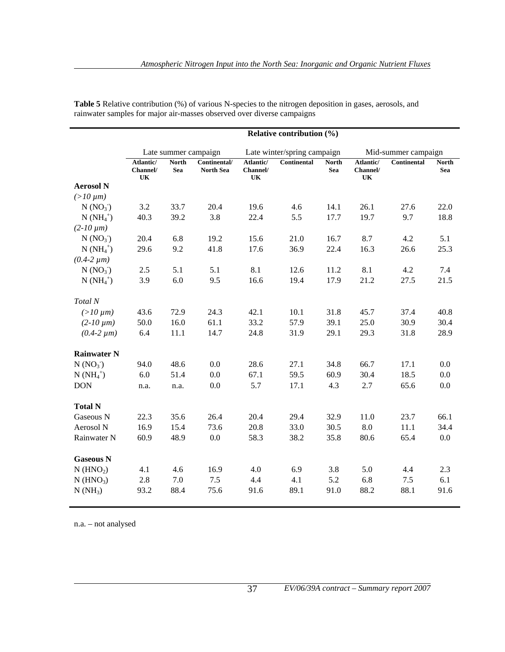|                         |                             |                            |                                  |                             | Relative contribution $(\%)$ |                            |                             |                     |                            |
|-------------------------|-----------------------------|----------------------------|----------------------------------|-----------------------------|------------------------------|----------------------------|-----------------------------|---------------------|----------------------------|
|                         |                             |                            | Late summer campaign             |                             | Late winter/spring campaign  |                            |                             | Mid-summer campaign |                            |
|                         | Atlantic/<br>Channel/<br>UK | <b>North</b><br><b>Sea</b> | Continental/<br><b>North Sea</b> | Atlantic/<br>Channel/<br>UK | <b>Continental</b>           | <b>North</b><br><b>Sea</b> | Atlantic/<br>Channel/<br>UK | <b>Continental</b>  | <b>North</b><br><b>Sea</b> |
| <b>Aerosol N</b>        |                             |                            |                                  |                             |                              |                            |                             |                     |                            |
| $(>10 \mu m)$           |                             |                            |                                  |                             |                              |                            |                             |                     |                            |
| N (NO <sub>3</sub> )    | 3.2                         | 33.7                       | 20.4                             | 19.6                        | 4.6                          | 14.1                       | 26.1                        | 27.6                | 22.0                       |
| $N(MH_4^+)$             | 40.3                        | 39.2                       | 3.8                              | 22.4                        | 5.5                          | 17.7                       | 19.7                        | 9.7                 | 18.8                       |
| $(2-10 \mu m)$          |                             |                            |                                  |                             |                              |                            |                             |                     |                            |
| N (NO <sub>3</sub> )    | 20.4                        | 6.8                        | 19.2                             | 15.6                        | 21.0                         | 16.7                       | 8.7                         | 4.2                 | 5.1                        |
| $N(NH_4^+)$             | 29.6                        | 9.2                        | 41.8                             | 17.6                        | 36.9                         | 22.4                       | 16.3                        | 26.6                | 25.3                       |
| $(0.4-2 \mu m)$         |                             |                            |                                  |                             |                              |                            |                             |                     |                            |
| N (NO <sub>3</sub> )    | 2.5                         | 5.1                        | 5.1                              | 8.1                         | 12.6                         | 11.2                       | 8.1                         | 4.2                 | 7.4                        |
| $N(NH_4^+)$             | 3.9                         | 6.0                        | 9.5                              | 16.6                        | 19.4                         | 17.9                       | 21.2                        | 27.5                | 21.5                       |
| Total N                 |                             |                            |                                  |                             |                              |                            |                             |                     |                            |
| $(>10 \mu m)$           | 43.6                        | 72.9                       | 24.3                             | 42.1                        | 10.1                         | 31.8                       | 45.7                        | 37.4                | 40.8                       |
| $(2-10 \mu m)$          | 50.0                        | 16.0                       | 61.1                             | 33.2                        | 57.9                         | 39.1                       | 25.0                        | 30.9                | 30.4                       |
| $(0.4-2 \mu m)$         | 6.4                         | 11.1                       | 14.7                             | 24.8                        | 31.9                         | 29.1                       | 29.3                        | 31.8                | 28.9                       |
| <b>Rainwater N</b>      |                             |                            |                                  |                             |                              |                            |                             |                     |                            |
| N (NO <sub>3</sub> )    | 94.0                        | 48.6                       | 0.0                              | 28.6                        | 27.1                         | 34.8                       | 66.7                        | 17.1                | 0.0                        |
| $N(NH_4^+)$             | 6.0                         | 51.4                       | 0.0                              | 67.1                        | 59.5                         | 60.9                       | 30.4                        | 18.5                | 0.0                        |
| <b>DON</b>              | n.a.                        | n.a.                       | 0.0                              | 5.7                         | 17.1                         | 4.3                        | 2.7                         | 65.6                | 0.0                        |
| <b>Total N</b>          |                             |                            |                                  |                             |                              |                            |                             |                     |                            |
| Gaseous N               | 22.3                        | 35.6                       | 26.4                             | 20.4                        | 29.4                         | 32.9                       | 11.0                        | 23.7                | 66.1                       |
| Aerosol N               | 16.9                        | 15.4                       | 73.6                             | 20.8                        | 33.0                         | 30.5                       | $8.0\,$                     | 11.1                | 34.4                       |
| Rainwater N             | 60.9                        | 48.9                       | $0.0\,$                          | 58.3                        | 38.2                         | 35.8                       | 80.6                        | 65.4                | 0.0                        |
| <b>Gaseous N</b>        |                             |                            |                                  |                             |                              |                            |                             |                     |                            |
| $N$ (HNO <sub>2</sub> ) | 4.1                         | 4.6                        | 16.9                             | 4.0                         | 6.9                          | 3.8                        | 5.0                         | 4.4                 | 2.3                        |
| $N$ (HNO <sub>3</sub> ) | 2.8                         | 7.0                        | 7.5                              | 4.4                         | 4.1                          | 5.2                        | 6.8                         | 7.5                 | 6.1                        |
| $N(NH_3)$               | 93.2                        | 88.4                       | 75.6                             | 91.6                        | 89.1                         | 91.0                       | 88.2                        | 88.1                | 91.6                       |

**Table 5** Relative contribution (%) of various N-species to the nitrogen deposition in gases, aerosols, and rainwater samples for major air-masses observed over diverse campaigns

n.a. – not analysed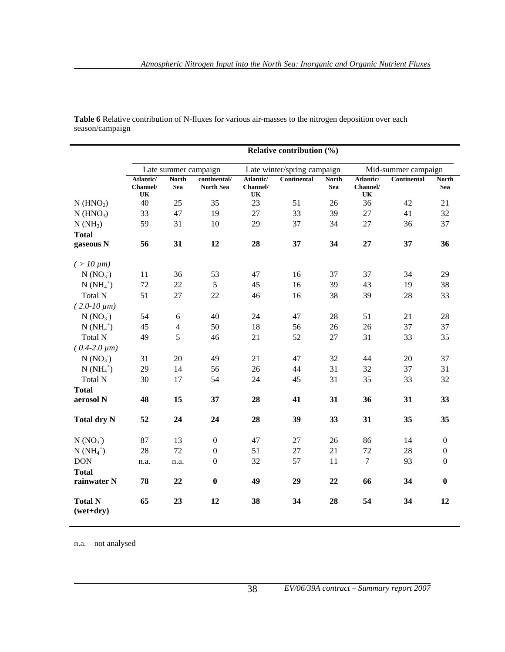|                               | Relative contribution (%)                                                  |                            |                                  |                             |                    |                            |                             |             |                     |
|-------------------------------|----------------------------------------------------------------------------|----------------------------|----------------------------------|-----------------------------|--------------------|----------------------------|-----------------------------|-------------|---------------------|
|                               | Mid-summer campaign<br>Late summer campaign<br>Late winter/spring campaign |                            |                                  |                             |                    |                            |                             |             |                     |
|                               | Atlantic/<br>Channel/<br>UK                                                | <b>North</b><br><b>Sea</b> | continental/<br><b>North Sea</b> | Atlantic/<br>Channel/<br>UK | <b>Continental</b> | <b>North</b><br><b>Sea</b> | Atlantic/<br>Channel/<br>UK | Continental | <b>North</b><br>Sea |
| $N$ (HNO <sub>2</sub> )       | 40                                                                         | 25                         | 35                               | 23                          | 51                 | 26                         | 36                          | 42          | 21                  |
| $N$ (HNO <sub>3</sub> )       | 33                                                                         | 47                         | 19                               | 27                          | 33                 | 39                         | 27                          | 41          | 32                  |
| $N(NH_3)$                     | 59                                                                         | 31                         | 10                               | 29                          | 37                 | 34                         | 27                          | 36          | 37                  |
| <b>Total</b>                  |                                                                            |                            |                                  |                             |                    |                            |                             |             |                     |
| gaseous N                     | 56                                                                         | 31                         | 12                               | 28                          | 37                 | 34                         | 27                          | 37          | 36                  |
| $( > 10 \,\mu m)$             |                                                                            |                            |                                  |                             |                    |                            |                             |             |                     |
| N (NO <sub>3</sub> )          | 11                                                                         | 36                         | 53                               | 47                          | 16                 | 37                         | 37                          | 34          | 29                  |
| $N(NH_4^+)$                   | 72                                                                         | 22                         | 5                                | 45                          | 16                 | 39                         | 43                          | 19          | 38                  |
| Total N                       | 51                                                                         | 27                         | 22                               | 46                          | 16                 | 38                         | 39                          | 28          | 33                  |
| $(2.0-10 \mu m)$              |                                                                            |                            |                                  |                             |                    |                            |                             |             |                     |
| N (NO <sub>3</sub> )          | 54                                                                         | $\sqrt{6}$                 | 40                               | 24                          | 47                 | 28                         | 51                          | 21          | $28\,$              |
| $N(NH_4^+)$                   | 45                                                                         | $\overline{4}$             | 50                               | 18                          | 56                 | 26                         | 26                          | 37          | 37                  |
| Total N                       | 49                                                                         | 5                          | 46                               | 21                          | 52                 | 27                         | 31                          | 33          | 35                  |
| $(0.4-2.0 \mu m)$             |                                                                            |                            |                                  |                             |                    |                            |                             |             |                     |
| N (NO <sub>3</sub> )          | 31                                                                         | 20                         | 49                               | 21                          | 47                 | 32                         | 44                          | 20          | 37                  |
| $N(NH_4^+)$                   | 29                                                                         | 14                         | 56                               | 26                          | 44                 | 31                         | 32                          | 37          | 31                  |
| <b>Total N</b>                | 30                                                                         | 17                         | 54                               | 24                          | 45                 | 31                         | 35                          | 33          | 32                  |
| <b>Total</b>                  |                                                                            |                            |                                  |                             |                    |                            |                             |             |                     |
| aerosol N                     | 48                                                                         | 15                         | 37                               | 28                          | 41                 | 31                         | 36                          | 31          | 33                  |
| <b>Total dry N</b>            | 52                                                                         | 24                         | 24                               | 28                          | 39                 | 33                         | 31                          | 35          | 35                  |
| $N(NO_3)$                     | 87                                                                         | 13                         | $\overline{0}$                   | 47                          | 27                 | 26                         | 86                          | 14          | $\overline{0}$      |
| $N(NH_4^+)$                   | 28                                                                         | 72                         | $\boldsymbol{0}$                 | 51                          | 27                 | 21                         | 72                          | 28          | $\theta$            |
| <b>DON</b><br><b>Total</b>    | n.a.                                                                       | n.a.                       | $\boldsymbol{0}$                 | 32                          | 57                 | 11                         | $\overline{7}$              | 93          | $\boldsymbol{0}$    |
| rainwater N                   | 78                                                                         | 22                         | $\bf{0}$                         | 49                          | 29                 | 22                         | 66                          | 34          | $\bf{0}$            |
| <b>Total N</b><br>$(wet+dry)$ | 65                                                                         | 23                         | 12                               | 38                          | 34                 | 28                         | 54                          | 34          | 12                  |

**Table 6** Relative contribution of N-fluxes for various air-masses to the nitrogen deposition over each season/campaign

n.a. – not analysed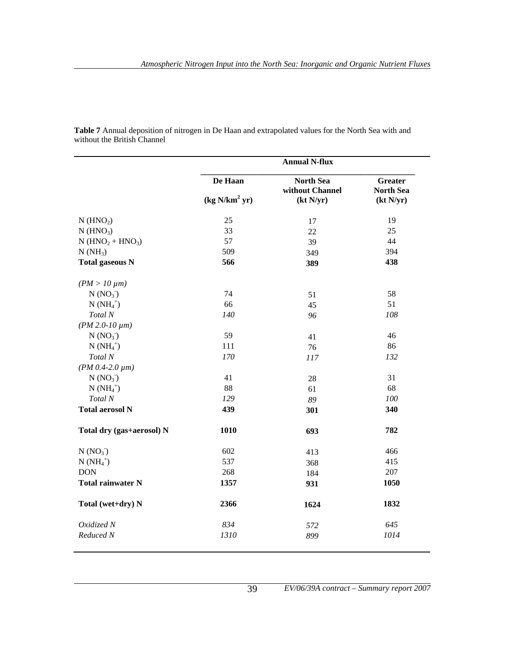|                                            | <b>Annual N-flux</b>      |                                     |                                    |  |  |  |
|--------------------------------------------|---------------------------|-------------------------------------|------------------------------------|--|--|--|
|                                            | De Haan                   | <b>North Sea</b><br>without Channel | <b>Greater</b><br><b>North Sea</b> |  |  |  |
|                                            | (kg N/km <sup>2</sup> yr) | (kt N/yr)                           | (kt N/yr)                          |  |  |  |
| $N$ (HNO <sub>2</sub> )                    | 25                        | 17                                  | 19                                 |  |  |  |
| $N$ (HNO <sub>3</sub> )                    | 33                        | 22                                  | 25                                 |  |  |  |
| $N$ (HNO <sub>2</sub> + HNO <sub>3</sub> ) | 57                        | 39                                  | 44                                 |  |  |  |
| $N(NH_3)$                                  | 509                       | 349                                 | 394                                |  |  |  |
| <b>Total gaseous N</b>                     | 566                       | 389                                 | 438                                |  |  |  |
| $(PM > 10 \mu m)$                          |                           |                                     |                                    |  |  |  |
| N (NO <sub>3</sub> )                       | 74                        | 51                                  | 58                                 |  |  |  |
| $N(NH_4^+)$                                | 66                        | 45                                  | 51                                 |  |  |  |
| Total N                                    | 140                       | 96                                  | 108                                |  |  |  |
| $(PM 2.0-10 \mu m)$                        |                           |                                     |                                    |  |  |  |
| N (NO <sub>3</sub> )                       | 59                        | 41                                  | 46                                 |  |  |  |
| $N(NH_4^+)$                                | 111                       | 76                                  | 86                                 |  |  |  |
| Total N                                    | 170                       | 117                                 | 132                                |  |  |  |
| $(PM\,0.4-2.0\,\mu m)$                     |                           |                                     |                                    |  |  |  |
| N (NO <sub>3</sub> )                       | 41                        | 28                                  | 31                                 |  |  |  |
| $N(NH_4^+)$                                | 88                        | 61                                  | 68                                 |  |  |  |
| Total N                                    | 129                       | 89                                  | 100                                |  |  |  |
| <b>Total aerosol N</b>                     | 439                       | 301                                 | 340                                |  |  |  |
| Total dry (gas+aerosol) N                  | 1010                      | 693                                 | 782                                |  |  |  |
| N (NO <sub>3</sub> )                       | 602                       | 413                                 | 466                                |  |  |  |
| $N(NH_4^+)$                                | 537                       | 368                                 | 415                                |  |  |  |
| <b>DON</b>                                 | 268                       | 184                                 | 207                                |  |  |  |
| <b>Total rainwater N</b>                   | 1357                      | 931                                 | 1050                               |  |  |  |
| Total (wet+dry) N                          | 2366                      | 1624                                | 1832                               |  |  |  |
| Oxidized N                                 | 834                       | 572                                 | 645                                |  |  |  |
| Reduced N                                  | 1310                      | 899                                 | 1014                               |  |  |  |

**Table 7** Annual deposition of nitrogen in De Haan and extrapolated values for the North Sea with and without the British Channel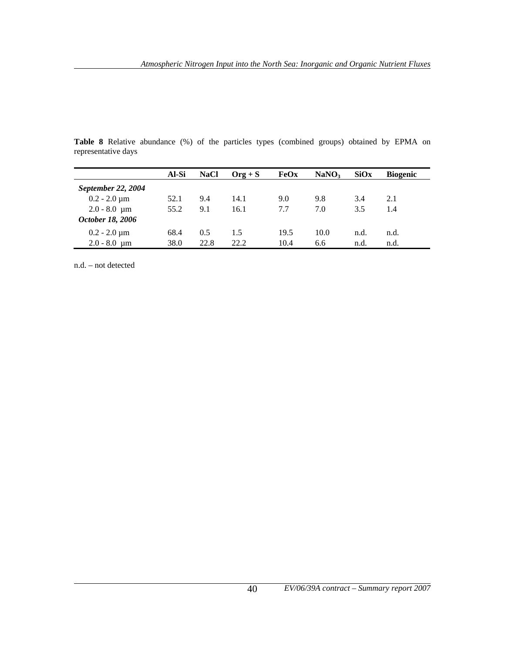**Table 8** Relative abundance (%) of the particles types (combined groups) obtained by EPMA on representative days

|                              | Al-Si | <b>NaCl</b> | $Org + S$ | FeOx | NaNO <sub>3</sub> | SiOx | <b>Biogenic</b> |
|------------------------------|-------|-------------|-----------|------|-------------------|------|-----------------|
| September 22, 2004           |       |             |           |      |                   |      |                 |
| $0.2 - 2.0 \,\mathrm{\mu m}$ | 52.1  | 9.4         | 14.1      | 9.0  | 9.8               | 3.4  | 2.1             |
| $2.0 - 8.0 \mu m$            | 55.2  | 9.1         | 16.1      | 7.7  | 7.0               | 3.5  | 1.4             |
| October 18, 2006             |       |             |           |      |                   |      |                 |
| $0.2 - 2.0 \,\mathrm{\mu m}$ | 68.4  | 0.5         | 1.5       | 19.5 | 10.0              | n.d. | n.d.            |
| $2.0 - 8.0 \mu m$            | 38.0  | 22.8        | 22.2      | 10.4 | 6.6               | n.d. | n.d.            |

n.d. – not detected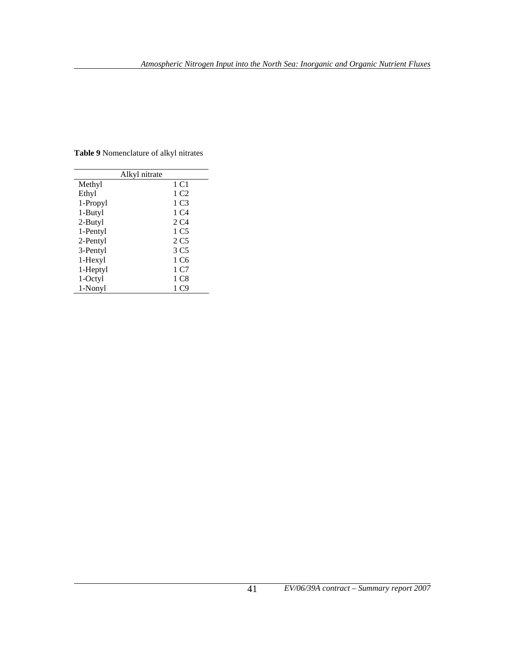|          | Alkyl nitrate    |
|----------|------------------|
| Methyl   | 1 C1             |
| Ethyl    | 1 C <sub>2</sub> |
| 1-Propyl | 1 C <sub>3</sub> |
| 1-Butyl  | 1 C4             |
| 2-Butyl  | 2 C4             |
| 1-Pentyl | 1 C <sub>5</sub> |
| 2-Pentyl | 2 C <sub>5</sub> |
| 3-Pentyl | 3 C <sub>5</sub> |
| 1-Hexyl  | 1 C6             |
| 1-Heptyl | 1 C7             |
| 1-Octyl  | 1 C8             |
| 1-Nonyl  | 1 C9             |

**Table 9** Nomenclature of alkyl nitrates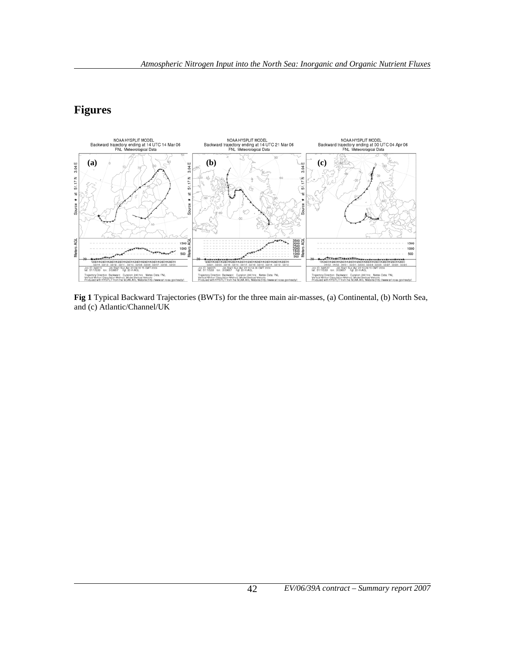#### **Figures**



**Fig 1** Typical Backward Trajectories (BWTs) for the three main air-masses, (a) Continental, (b) North Sea, and (c) Atlantic/Channel/UK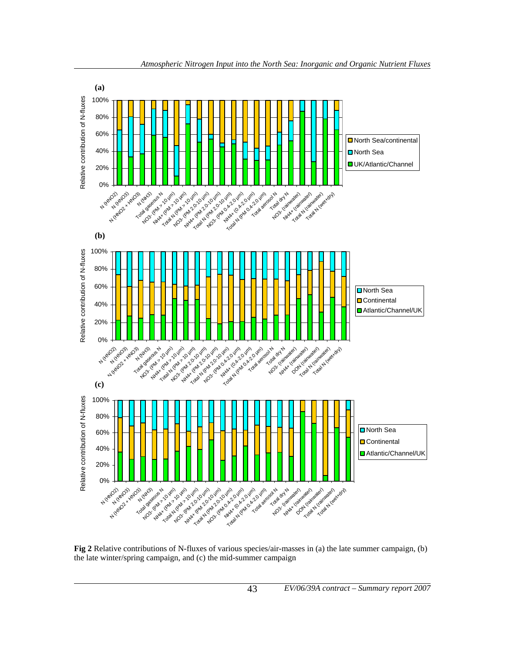

**Fig 2** Relative contributions of N-fluxes of various species/air-masses in (a) the late summer campaign, (b) the late winter/spring campaign, and (c) the mid-summer campaign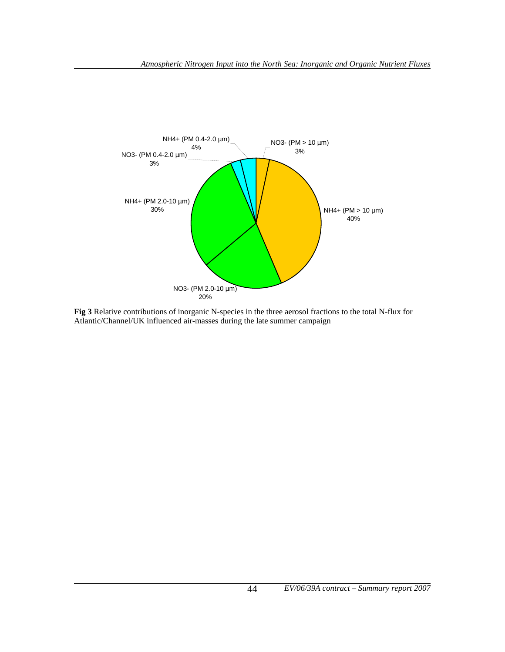

**Fig 3** Relative contributions of inorganic N-species in the three aerosol fractions to the total N-flux for Atlantic/Channel/UK influenced air-masses during the late summer campaign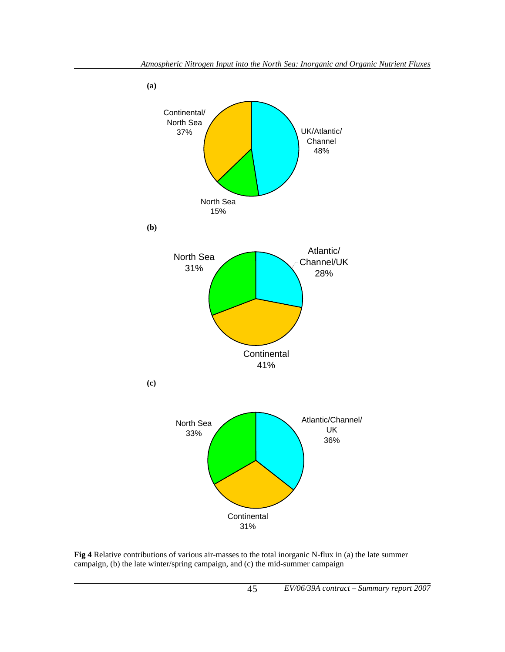

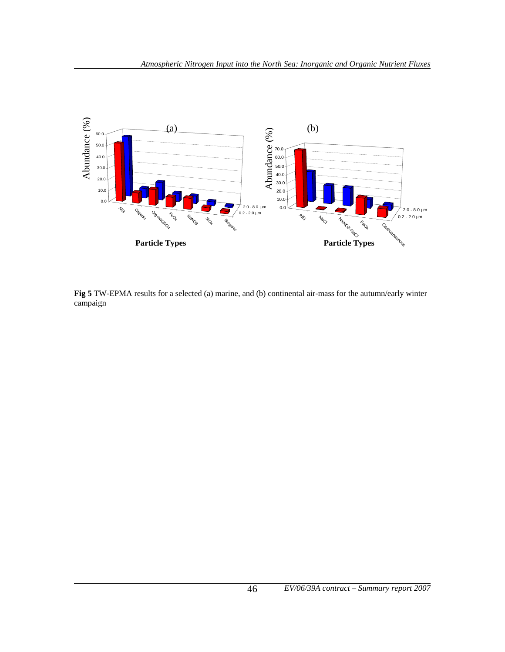

**Fig 5** TW-EPMA results for a selected (a) marine, and (b) continental air-mass for the autumn/early winter campaign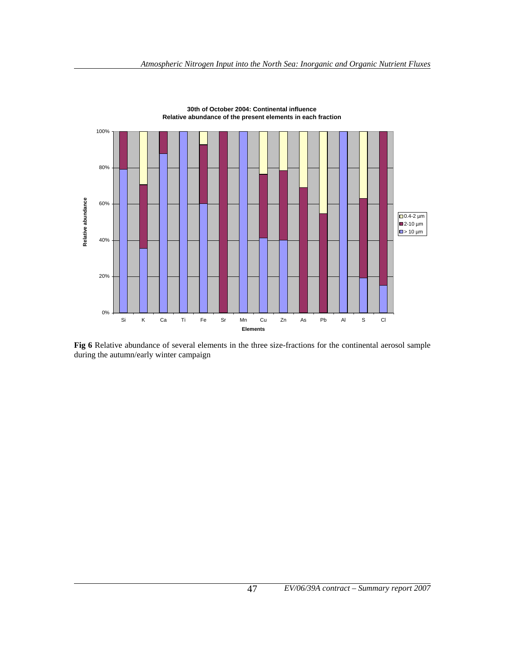

**30th of October 2004: Continental influence Relative abundance of the present elements in each fraction**

**Fig 6** Relative abundance of several elements in the three size-fractions for the continental aerosol sample during the autumn/early winter campaign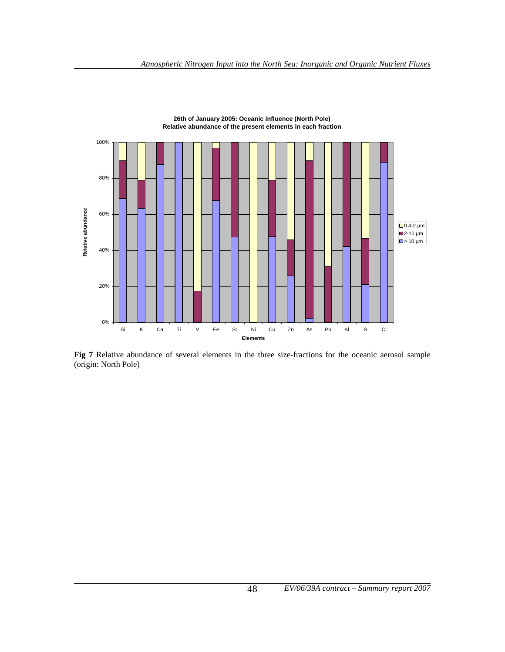

**26th of January 2005: Oceanic influence (North Pole) Relative abundance of the present elements in each fraction**

**Fig 7** Relative abundance of several elements in the three size-fractions for the oceanic aerosol sample (origin: North Pole)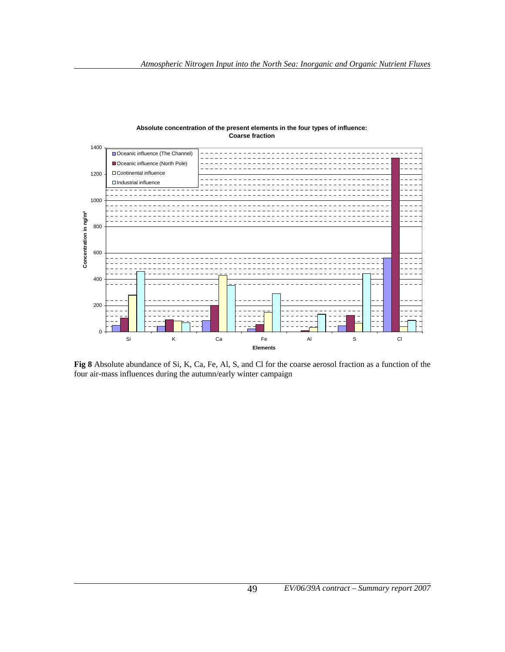

#### **Absolute concentration of the present elements in the four types of influence: Coarse fraction**

**Fig 8** Absolute abundance of Si, K, Ca, Fe, Al, S, and Cl for the coarse aerosol fraction as a function of the four air-mass influences during the autumn/early winter campaign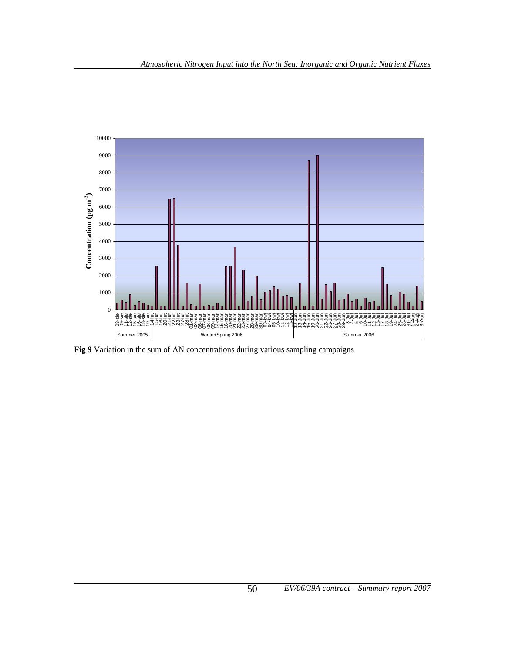

**Fig 9** Variation in the sum of AN concentrations during various sampling campaigns